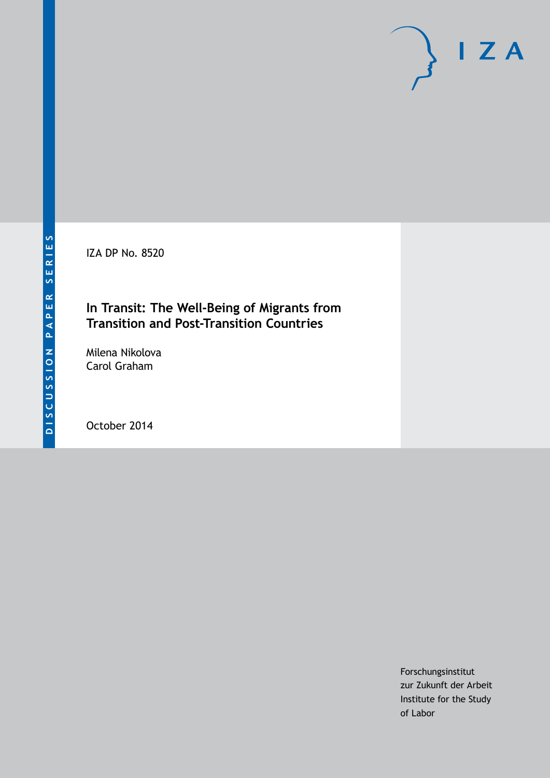IZA DP No. 8520

# **In Transit: The Well-Being of Migrants from Transition and Post-Transition Countries**

Milena Nikolova Carol Graham

October 2014

Forschungsinstitut zur Zukunft der Arbeit Institute for the Study of Labor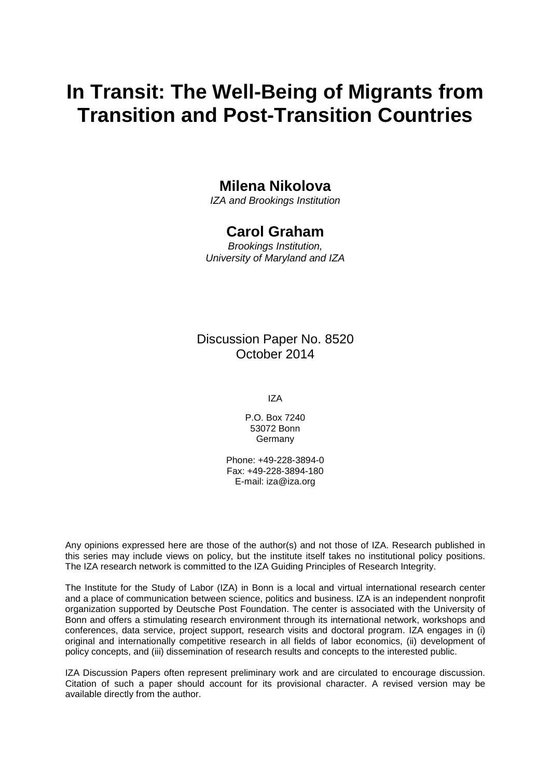# **In Transit: The Well-Being of Migrants from Transition and Post-Transition Countries**

# **Milena Nikolova**

*IZA and Brookings Institution*

## **Carol Graham**

*Brookings Institution, University of Maryland and IZA*

### Discussion Paper No. 8520 October 2014

IZA

P.O. Box 7240 53072 Bonn **Germany** 

Phone: +49-228-3894-0 Fax: +49-228-3894-180 E-mail: [iza@iza.org](mailto:iza@iza.org)

Any opinions expressed here are those of the author(s) and not those of IZA. Research published in this series may include views on policy, but the institute itself takes no institutional policy positions. The IZA research network is committed to the IZA Guiding Principles of Research Integrity.

The Institute for the Study of Labor (IZA) in Bonn is a local and virtual international research center and a place of communication between science, politics and business. IZA is an independent nonprofit organization supported by Deutsche Post Foundation. The center is associated with the University of Bonn and offers a stimulating research environment through its international network, workshops and conferences, data service, project support, research visits and doctoral program. IZA engages in (i) original and internationally competitive research in all fields of labor economics, (ii) development of policy concepts, and (iii) dissemination of research results and concepts to the interested public.

IZA Discussion Papers often represent preliminary work and are circulated to encourage discussion. Citation of such a paper should account for its provisional character. A revised version may be available directly from the author.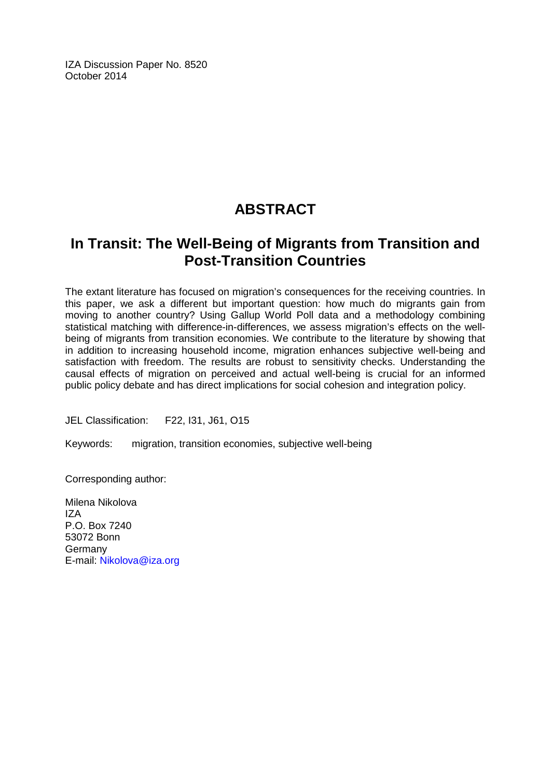IZA Discussion Paper No. 8520 October 2014

# **ABSTRACT**

# **In Transit: The Well-Being of Migrants from Transition and Post-Transition Countries**

The extant literature has focused on migration's consequences for the receiving countries. In this paper, we ask a different but important question: how much do migrants gain from moving to another country? Using Gallup World Poll data and a methodology combining statistical matching with difference-in-differences, we assess migration's effects on the wellbeing of migrants from transition economies. We contribute to the literature by showing that in addition to increasing household income, migration enhances subjective well-being and satisfaction with freedom. The results are robust to sensitivity checks. Understanding the causal effects of migration on perceived and actual well-being is crucial for an informed public policy debate and has direct implications for social cohesion and integration policy.

JEL Classification: F22, I31, J61, O15

Keywords: migration, transition economies, subjective well-being

Corresponding author:

Milena Nikolova IZA P.O. Box 7240 53072 Bonn Germany E-mail: [Nikolova@iza.org](mailto:Nikolova@iza.org)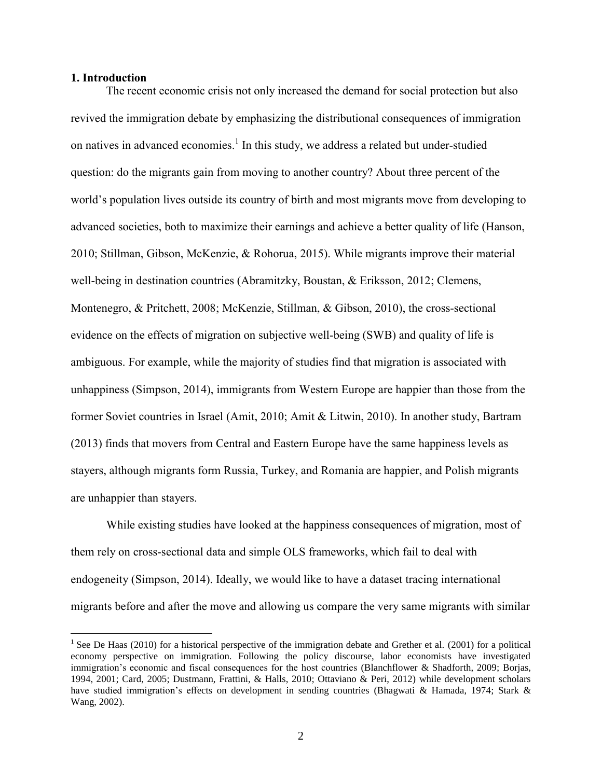#### **1. Introduction**

 $\overline{a}$ 

The recent economic crisis not only increased the demand for social protection but also revived the immigration debate by emphasizing the distributional consequences of immigration on natives in advanced economies.<sup>1</sup> In this study, we address a related but under-studied question: do the migrants gain from moving to another country? About three percent of the world's population lives outside its country of birth and most migrants move from developing to advanced societies, both to maximize their earnings and achieve a better quality of life (Hanson, 2010; Stillman, Gibson, McKenzie, & Rohorua, 2015). While migrants improve their material well-being in destination countries (Abramitzky, Boustan, & Eriksson, 2012; Clemens, Montenegro, & Pritchett, 2008; McKenzie, Stillman, & Gibson, 2010), the cross-sectional evidence on the effects of migration on subjective well-being (SWB) and quality of life is ambiguous. For example, while the majority of studies find that migration is associated with unhappiness (Simpson, 2014), immigrants from Western Europe are happier than those from the former Soviet countries in Israel (Amit, 2010; Amit & Litwin, 2010). In another study, Bartram (2013) finds that movers from Central and Eastern Europe have the same happiness levels as stayers, although migrants form Russia, Turkey, and Romania are happier, and Polish migrants are unhappier than stayers.

While existing studies have looked at the happiness consequences of migration, most of them rely on cross-sectional data and simple OLS frameworks, which fail to deal with endogeneity (Simpson, 2014). Ideally, we would like to have a dataset tracing international migrants before and after the move and allowing us compare the very same migrants with similar

<sup>&</sup>lt;sup>1</sup> See De Haas [\(2010\)](#page-41-0) for a historical perspective of the immigration debate and Grether et al. [\(2001\)](#page-41-1) for a political economy perspective on immigration. Following the policy discourse, labor economists have investigated immigration's economic and fiscal consequences for the host countries [\(Blanchflower & Shadforth, 2009;](#page-40-0) [Borjas,](#page-40-1)  [1994,](#page-40-1) [2001;](#page-40-2) [Card, 2005;](#page-40-3) [Dustmann, Frattini, & Halls, 2010;](#page-41-2) [Ottaviano & Peri, 2012\)](#page-42-0) while development scholars have studied immigration's effects on development in sending countries [\(Bhagwati & Hamada, 1974;](#page-40-4) Stark & [Wang, 2002\)](#page-43-0).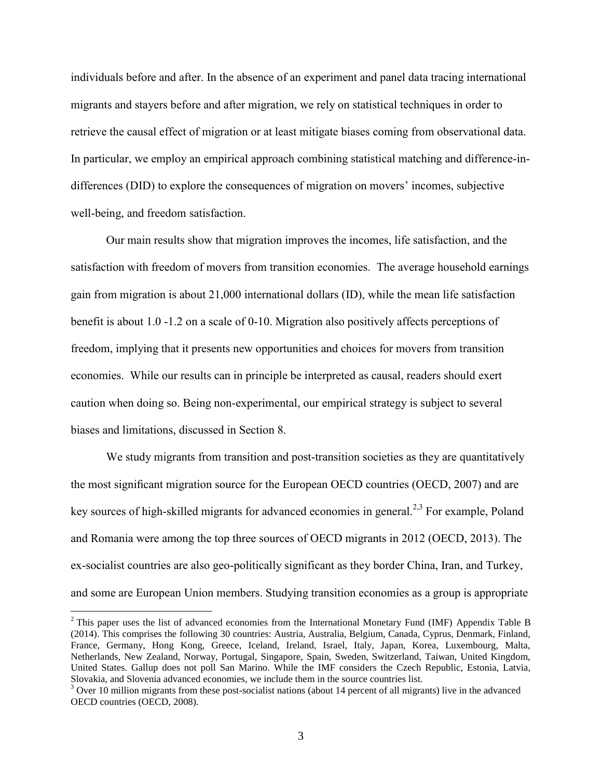individuals before and after. In the absence of an experiment and panel data tracing international migrants and stayers before and after migration, we rely on statistical techniques in order to retrieve the causal effect of migration or at least mitigate biases coming from observational data. In particular, we employ an empirical approach combining statistical matching and difference-indifferences (DID) to explore the consequences of migration on movers' incomes, subjective well-being, and freedom satisfaction.

Our main results show that migration improves the incomes, life satisfaction, and the satisfaction with freedom of movers from transition economies. The average household earnings gain from migration is about 21,000 international dollars (ID), while the mean life satisfaction benefit is about 1.0 -1.2 on a scale of 0-10. Migration also positively affects perceptions of freedom, implying that it presents new opportunities and choices for movers from transition economies. While our results can in principle be interpreted as causal, readers should exert caution when doing so. Being non-experimental, our empirical strategy is subject to several biases and limitations, discussed in Section 8.

We study migrants from transition and post-transition societies as they are quantitatively the most significant migration source for the European OECD countries (OECD, 2007) and are key sources of high-skilled migrants for advanced economies in general.<sup>2,3</sup> For example, Poland and Romania were among the top three sources of OECD migrants in 2012 (OECD, 2013). The ex-socialist countries are also geo-politically significant as they border China, Iran, and Turkey, and some are European Union members. Studying transition economies as a group is appropriate

<sup>&</sup>lt;sup>2</sup> This paper uses the list of advanced economies from the International Monetary Fund (IMF) Appendix Table B [\(2014\)](#page-41-3). This comprises the following 30 countries: Austria, Australia, Belgium, Canada, Cyprus, Denmark, Finland, France, Germany, Hong Kong, Greece, Iceland, Ireland, Israel, Italy, Japan, Korea, Luxembourg, Malta, Netherlands, New Zealand, Norway, Portugal, Singapore, Spain, Sweden, Switzerland, Taiwan, United Kingdom, United States. Gallup does not poll San Marino. While the IMF considers the Czech Republic, Estonia, Latvia, Slovakia, and Slovenia advanced economies, we include them in the source countries list.

<sup>&</sup>lt;sup>3</sup> Over 10 million migrants from these post-socialist nations (about 14 percent of all migrants) live in the advanced OECD countries (OECD, 2008).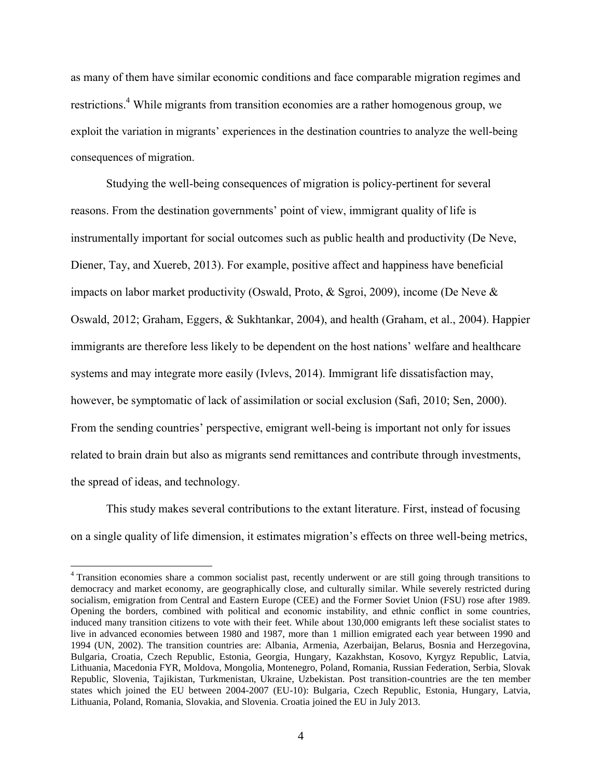as many of them have similar economic conditions and face comparable migration regimes and restrictions.<sup>4</sup> While migrants from transition economies are a rather homogenous group, we exploit the variation in migrants' experiences in the destination countries to analyze the well-being consequences of migration.

Studying the well-being consequences of migration is policy-pertinent for several reasons. From the destination governments' point of view, immigrant quality of life is instrumentally important for social outcomes such as public health and productivity (De Neve, Diener, Tay, and Xuereb, 2013). For example, positive affect and happiness have beneficial impacts on labor market productivity (Oswald, Proto, & Sgroi, 2009), income (De Neve & Oswald, 2012; Graham, Eggers, & Sukhtankar, 2004), and health (Graham, et al., 2004). Happier immigrants are therefore less likely to be dependent on the host nations' welfare and healthcare systems and may integrate more easily (Ivlevs, 2014). Immigrant life dissatisfaction may, however, be symptomatic of lack of assimilation or social exclusion (Safi, 2010; Sen, 2000). From the sending countries' perspective, emigrant well-being is important not only for issues related to brain drain but also as migrants send remittances and contribute through investments, the spread of ideas, and technology.

This study makes several contributions to the extant literature. First, instead of focusing on a single quality of life dimension, it estimates migration's effects on three well-being metrics,

<sup>&</sup>lt;sup>4</sup> Transition economies share a common socialist past, recently underwent or are still going through transitions to democracy and market economy, are geographically close, and culturally similar. While severely restricted during socialism, emigration from Central and Eastern Europe (CEE) and the Former Soviet Union (FSU) rose after 1989. Opening the borders, combined with political and economic instability, and ethnic conflict in some countries, induced many transition citizens to vote with their feet. While about 130,000 emigrants left these socialist states to live in advanced economies between 1980 and 1987, more than 1 million emigrated each year between 1990 and 1994 [\(UN, 2002\)](#page-43-1). The transition countries are: Albania, Armenia, Azerbaijan, Belarus, Bosnia and Herzegovina, Bulgaria, Croatia, Czech Republic, Estonia, Georgia, Hungary, Kazakhstan, Kosovo, Kyrgyz Republic, Latvia, Lithuania, Macedonia FYR, Moldova, Mongolia, Montenegro, Poland, Romania, Russian Federation, Serbia, Slovak Republic, Slovenia, Tajikistan, Turkmenistan, Ukraine, Uzbekistan. Post transition-countries are the ten member states which joined the EU between 2004-2007 (EU-10): Bulgaria, Czech Republic, Estonia, Hungary, Latvia, Lithuania, Poland, Romania, Slovakia, and Slovenia. Croatia joined the EU in July 2013.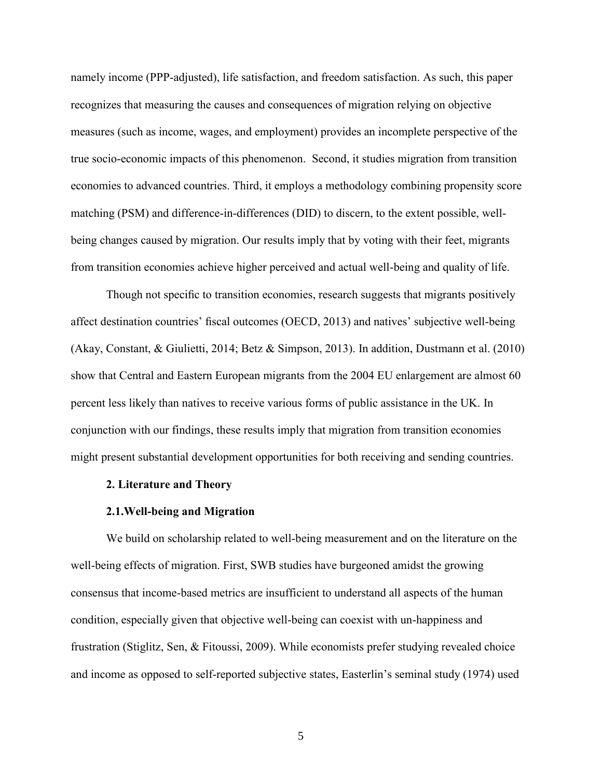namely income (PPP-adjusted), life satisfaction, and freedom satisfaction. As such, this paper recognizes that measuring the causes and consequences of migration relying on objective measures (such as income, wages, and employment) provides an incomplete perspective of the true socio-economic impacts of this phenomenon. Second, it studies migration from transition economies to advanced countries. Third, it employs a methodology combining propensity score matching (PSM) and difference-in-differences (DID) to discern, to the extent possible, wellbeing changes caused by migration. Our results imply that by voting with their feet, migrants from transition economies achieve higher perceived and actual well-being and quality of life.

Though not specific to transition economies, research suggests that migrants positively affect destination countries' fiscal outcomes (OECD, 2013) and natives' subjective well-being (Akay, Constant, & Giulietti, 2014; Betz & Simpson, 2013). In addition, Dustmann et al. (2010) show that Central and Eastern European migrants from the 2004 EU enlargement are almost 60 percent less likely than natives to receive various forms of public assistance in the UK. In conjunction with our findings, these results imply that migration from transition economies might present substantial development opportunities for both receiving and sending countries.

#### **2. Literature and Theory**

#### **2.1.Well-being and Migration**

We build on scholarship related to well-being measurement and on the literature on the well-being effects of migration. First, SWB studies have burgeoned amidst the growing consensus that income-based metrics are insufficient to understand all aspects of the human condition, especially given that objective well-being can coexist with un-happiness and frustration (Stiglitz, Sen, & Fitoussi, 2009). While economists prefer studying revealed choice and income as opposed to self-reported subjective states, Easterlin's seminal study (1974) used

5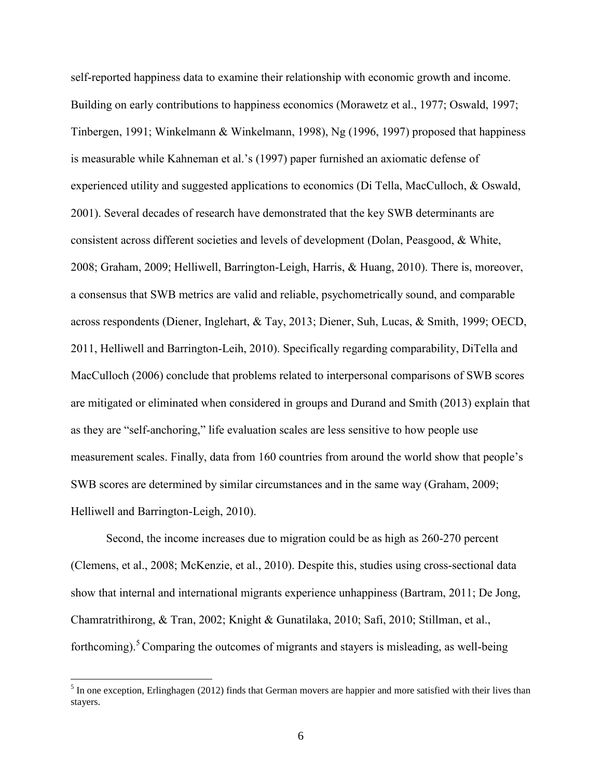self-reported happiness data to examine their relationship with economic growth and income. Building on early contributions to happiness economics (Morawetz et al., 1977; Oswald, 1997; Tinbergen, 1991; Winkelmann & Winkelmann, 1998), Ng (1996, 1997) proposed that happiness is measurable while Kahneman et al.'s (1997) paper furnished an axiomatic defense of experienced utility and suggested applications to economics (Di Tella, MacCulloch, & Oswald, 2001). Several decades of research have demonstrated that the key SWB determinants are consistent across different societies and levels of development (Dolan, Peasgood, & White, 2008; Graham, 2009; Helliwell, Barrington-Leigh, Harris, & Huang, 2010). There is, moreover, a consensus that SWB metrics are valid and reliable, psychometrically sound, and comparable across respondents (Diener, Inglehart, & Tay, 2013; Diener, Suh, Lucas, & Smith, 1999; OECD, 2011, Helliwell and Barrington-Leih, 2010). Specifically regarding comparability, DiTella and MacCulloch (2006) conclude that problems related to interpersonal comparisons of SWB scores are mitigated or eliminated when considered in groups and Durand and Smith (2013) explain that as they are "self-anchoring," life evaluation scales are less sensitive to how people use measurement scales. Finally, data from 160 countries from around the world show that people's SWB scores are determined by similar circumstances and in the same way (Graham, 2009; Helliwell and Barrington-Leigh, 2010).

Second, the income increases due to migration could be as high as 260-270 percent (Clemens, et al., 2008; McKenzie, et al., 2010). Despite this, studies using cross-sectional data show that internal and international migrants experience unhappiness (Bartram, 2011; De Jong, Chamratrithirong, & Tran, 2002; Knight & Gunatilaka, 2010; Safi, 2010; Stillman, et al., forthcoming).<sup>5</sup> Comparing the outcomes of migrants and stayers is misleading, as well-being

 $<sup>5</sup>$  In one exception, Erlinghagen [\(2012\)](#page-41-4) finds that German movers are happier and more satisfied with their lives than</sup> stayers.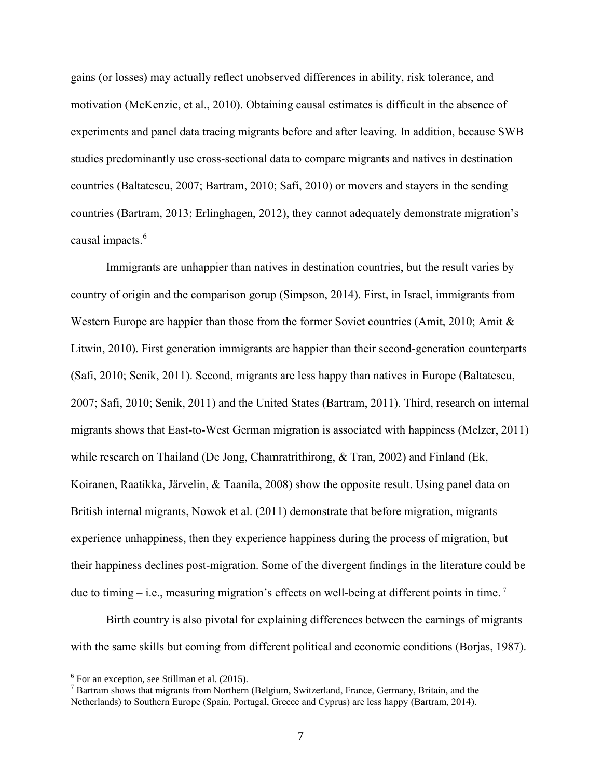gains (or losses) may actually reflect unobserved differences in ability, risk tolerance, and motivation (McKenzie, et al., 2010). Obtaining causal estimates is difficult in the absence of experiments and panel data tracing migrants before and after leaving. In addition, because SWB studies predominantly use cross-sectional data to compare migrants and natives in destination countries (Baltatescu, 2007; Bartram, 2010; Safi, 2010) or movers and stayers in the sending countries (Bartram, 2013; Erlinghagen, 2012), they cannot adequately demonstrate migration's causal impacts.<sup>6</sup>

Immigrants are unhappier than natives in destination countries, but the result varies by country of origin and the comparison gorup (Simpson, 2014). First, in Israel, immigrants from Western Europe are happier than those from the former Soviet countries [\(Amit, 2010;](#page-40-5) [Amit &](#page-40-6)  [Litwin, 2010\)](#page-40-6). First generation immigrants are happier than their second-generation counterparts [\(Safi, 2010;](#page-42-1) [Senik, 2011\)](#page-42-2). Second, migrants are less happy than natives in Europe [\(Baltatescu,](#page-40-7)  [2007;](#page-40-7) [Safi, 2010;](#page-42-1) [Senik, 2011\)](#page-42-2) and the United States [\(Bartram, 2011\)](#page-40-8). Third, research on internal migrants shows that East-to-West German migration is associated with happiness [\(Melzer, 2011\)](#page-42-3) while research on Thailand [\(De Jong, Chamratrithirong, & Tran, 2002\)](#page-41-5) and Finland (Ek, [Koiranen, Raatikka, Järvelin, & Taanila, 2008\)](#page-41-6) show the opposite result. Using panel data on British internal migrants, Nowok et al. (2011) demonstrate that before migration, migrants experience unhappiness, then they experience happiness during the process of migration, but their happiness declines post-migration. Some of the divergent findings in the literature could be due to timing – i.e., measuring migration's effects on well-being at different points in time.<sup>7</sup>

Birth country is also pivotal for explaining differences between the earnings of migrants with the same skills but coming from different political and economic conditions (Borjas, 1987).

<sup>&</sup>lt;sup>6</sup> For an exception, see Stillman et al. (2015).

<sup>7</sup> Bartram shows that migrants from Northern (Belgium, Switzerland, France, Germany, Britain, and the Netherlands) to Southern Europe (Spain, Portugal, Greece and Cyprus) are less happy [\(Bartram, 2014\)](#page-40-9).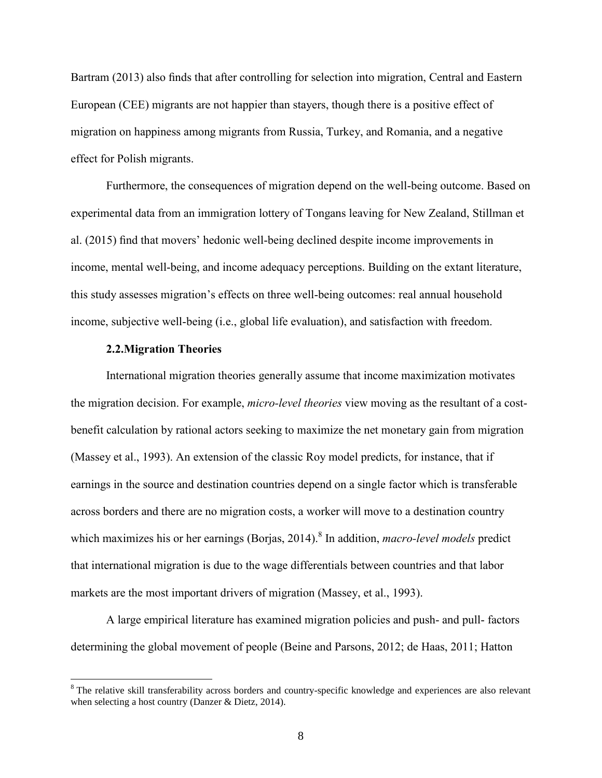Bartram (2013) also finds that after controlling for selection into migration, Central and Eastern European (CEE) migrants are not happier than stayers, though there is a positive effect of migration on happiness among migrants from Russia, Turkey, and Romania, and a negative effect for Polish migrants.

Furthermore, the consequences of migration depend on the well-being outcome. Based on experimental data from an immigration lottery of Tongans leaving for New Zealand, Stillman et al. (2015) find that movers' hedonic well-being declined despite income improvements in income, mental well-being, and income adequacy perceptions. Building on the extant literature, this study assesses migration's effects on three well-being outcomes: real annual household income, subjective well-being (i.e., global life evaluation), and satisfaction with freedom.

#### **2.2.Migration Theories**

 $\overline{a}$ 

International migration theories generally assume that income maximization motivates the migration decision. For example, *micro-level theories* view moving as the resultant of a costbenefit calculation by rational actors seeking to maximize the net monetary gain from migration (Massey et al., 1993). An extension of the classic Roy model predicts, for instance, that if earnings in the source and destination countries depend on a single factor which is transferable across borders and there are no migration costs, a worker will move to a destination country which maximizes his or her earnings (Borjas, 2014). 8 In addition, *macro-level models* predict that international migration is due to the wage differentials between countries and that labor markets are the most important drivers of migration (Massey, et al., 1993).

A large empirical literature has examined migration policies and push- and pull- factors determining the global movement of people (Beine and Parsons, 2012; de Haas, 2011; Hatton

<sup>&</sup>lt;sup>8</sup> The relative skill transferability across borders and country-specific knowledge and experiences are also relevant when selecting a host country [\(Danzer & Dietz, 2014\)](#page-41-7).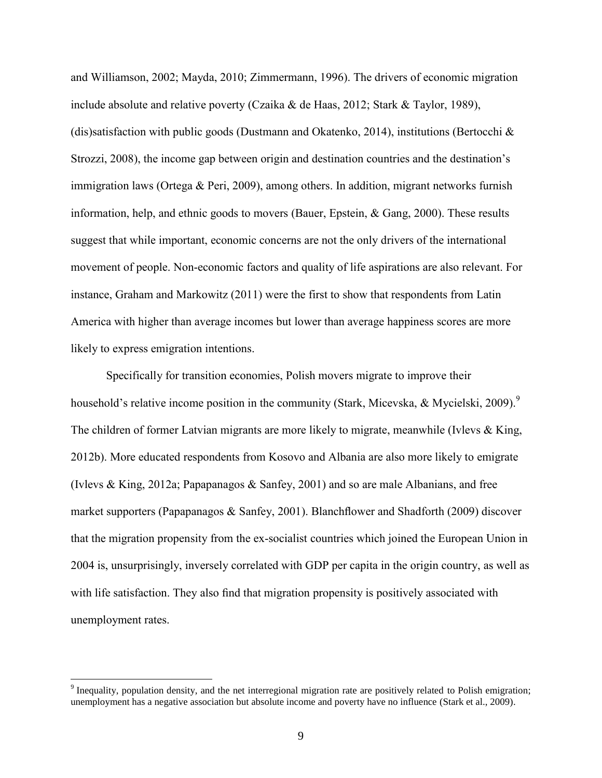and Williamson, 2002; Mayda, 2010; Zimmermann, 1996). The drivers of economic migration include absolute and relative poverty (Czaika & de Haas, 2012; Stark & Taylor, 1989), (dis)satisfaction with public goods (Dustmann and Okatenko, 2014), institutions (Bertocchi  $\&$ Strozzi, 2008), the income gap between origin and destination countries and the destination's immigration laws (Ortega & Peri, 2009), among others. In addition, migrant networks furnish information, help, and ethnic goods to movers (Bauer, Epstein, & Gang, 2000). These results suggest that while important, economic concerns are not the only drivers of the international movement of people. Non-economic factors and quality of life aspirations are also relevant. For instance, Graham and Markowitz (2011) were the first to show that respondents from Latin America with higher than average incomes but lower than average happiness scores are more likely to express emigration intentions.

Specifically for transition economies, Polish movers migrate to improve their household's relative income position in the community (Stark, Micevska, & Mycielski, 2009). The children of former Latvian migrants are more likely to migrate, meanwhile (Ivlevs & King, 2012b). More educated respondents from Kosovo and Albania are also more likely to emigrate (Ivlevs & King, 2012a; Papapanagos & Sanfey, 2001) and so are male Albanians, and free market supporters (Papapanagos & Sanfey, 2001). Blanchflower and Shadforth (2009) discover that the migration propensity from the ex-socialist countries which joined the European Union in 2004 is, unsurprisingly, inversely correlated with GDP per capita in the origin country, as well as with life satisfaction. They also find that migration propensity is positively associated with unemployment rates.

 $9$  Inequality, population density, and the net interregional migration rate are positively related to Polish emigration; unemployment has a negative association but absolute income and poverty have no influence (Stark et al., 2009).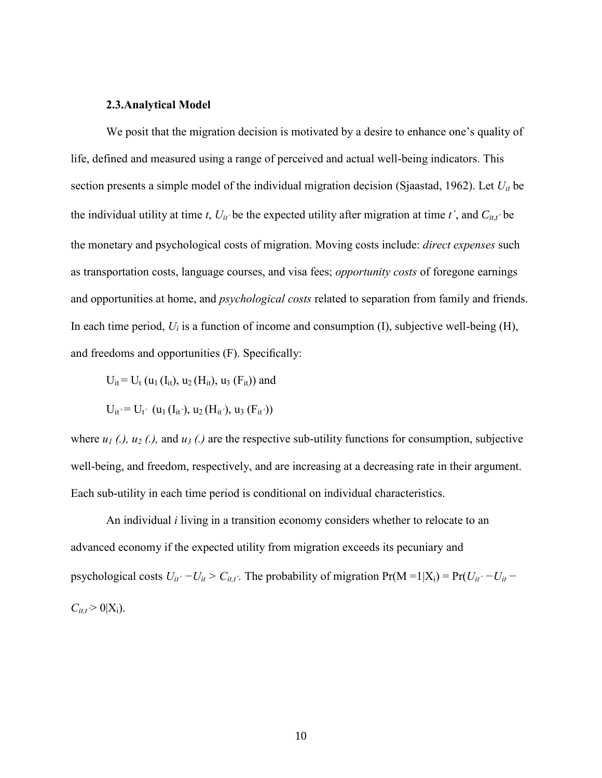#### **2.3.Analytical Model**

We posit that the migration decision is motivated by a desire to enhance one's quality of life, defined and measured using a range of perceived and actual well-being indicators. This section presents a simple model of the individual migration decision (Sjaastad, 1962). Let *Uit* be the individual utility at time *t*,  $U_{it}$  be the expected utility after migration at time *t'*, and  $C_{it,t}$  be the monetary and psychological costs of migration. Moving costs include: *direct expenses* such as transportation costs, language courses, and visa fees; *opportunity costs* of foregone earnings and opportunities at home, and *psychological costs* related to separation from family and friends. In each time period,  $U_i$  is a function of income and consumption (I), subjective well-being (H), and freedoms and opportunities (F). Specifically:

$$
U_{it} = U_t (u_1 (I_{it}), u_2 (H_{it}), u_3 (F_{it}))
$$
 and

$$
U_{it'} = U_{t'} \ (u_1(I_{it'}), u_2(H_{it'}), u_3(F_{it'}))
$$

where  $u_1$  (.),  $u_2$  (.), and  $u_3$  (.) are the respective sub-utility functions for consumption, subjective well-being, and freedom, respectively, and are increasing at a decreasing rate in their argument. Each sub-utility in each time period is conditional on individual characteristics.

An individual *i* living in a transition economy considers whether to relocate to an advanced economy if the expected utility from migration exceeds its pecuniary and psychological costs  $U_{it'} - U_{it} > C_{it,t'}$ . The probability of migration Pr(M =1|X<sub>i</sub>) = Pr( $U_{it'} - U_{it}$  –  $C_{it,t}$ <sup>2</sup> 0|X<sub>i</sub>).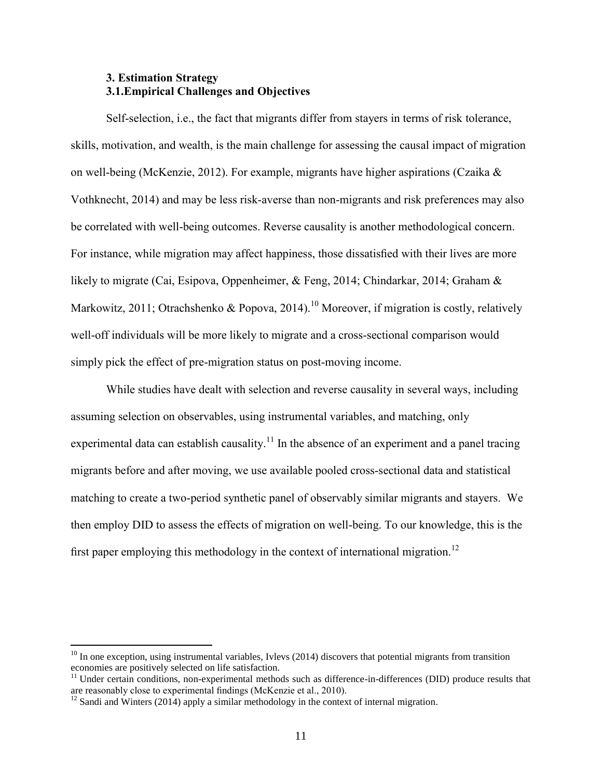#### **3. Estimation Strategy 3.1.Empirical Challenges and Objectives**

Self-selection, i.e., the fact that migrants differ from stayers in terms of risk tolerance, skills, motivation, and wealth, is the main challenge for assessing the causal impact of migration on well-being (McKenzie, 2012). For example, migrants have higher aspirations (Czaika & Vothknecht, 2014) and may be less risk-averse than non-migrants and risk preferences may also be correlated with well-being outcomes. Reverse causality is another methodological concern. For instance, while migration may affect happiness, those dissatisfied with their lives are more likely to migrate (Cai, Esipova, Oppenheimer, & Feng, 2014; Chindarkar, 2014; Graham & Markowitz, 2011; Otrachshenko & Popova, 2014).<sup>10</sup> Moreover, if migration is costly, relatively well-off individuals will be more likely to migrate and a cross-sectional comparison would simply pick the effect of pre-migration status on post-moving income.

While studies have dealt with selection and reverse causality in several ways, including assuming selection on observables, using instrumental variables, and matching, only experimental data can establish causality.<sup>11</sup> In the absence of an experiment and a panel tracing migrants before and after moving, we use available pooled cross-sectional data and statistical matching to create a two-period synthetic panel of observably similar migrants and stayers. We then employ DID to assess the effects of migration on well-being. To our knowledge, this is the first paper employing this methodology in the context of international migration.<sup>12</sup>

 $10$  In one exception, using instrumental variables, Ivlevs (2014) discovers that potential migrants from transition economies are positively selected on life satisfaction.

 $11$  Under certain conditions, non-experimental methods such as difference-in-differences (DID) produce results that are reasonably close to experimental findings (McKenzie et al., 2010).

 $12$  Sandi and Winters (2014) apply a similar methodology in the context of internal migration.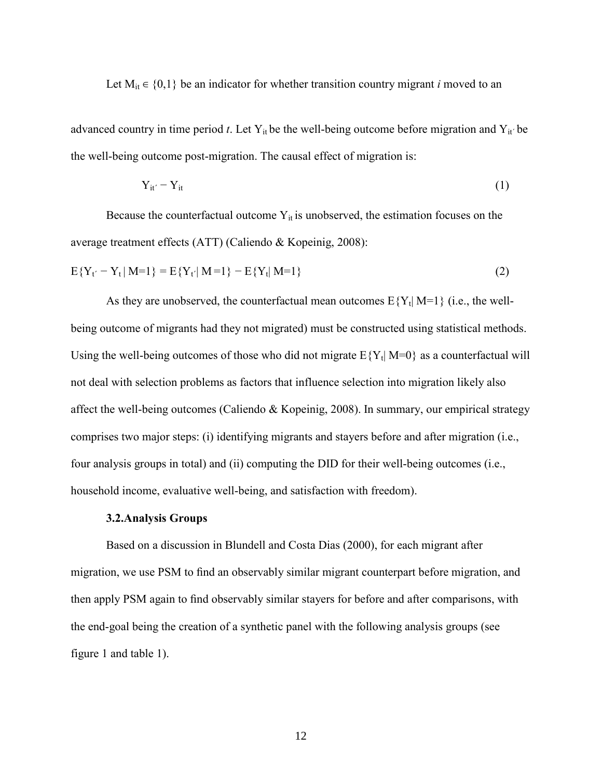Let  $M_{it} \in \{0,1\}$  be an indicator for whether transition country migrant *i* moved to an

advanced country in time period *t*. Let  $Y_{it}$  be the well-being outcome before migration and  $Y_{it}$  be the well-being outcome post-migration. The causal effect of migration is:

$$
Y_{it'} - Y_{it} \tag{1}
$$

Because the counterfactual outcome  $Y_{it}$  is unobserved, the estimation focuses on the average treatment effects (ATT) (Caliendo & Kopeinig, 2008):

$$
E{Yt' - Yt | M=1} = E{Yt' | M=1} - E{Yt | M=1}
$$
\n(2)

As they are unobserved, the counterfactual mean outcomes  $E{Y_t | M=1}$  (i.e., the wellbeing outcome of migrants had they not migrated) must be constructed using statistical methods. Using the well-being outcomes of those who did not migrate  $E{Y_t | M=0}$  as a counterfactual will not deal with selection problems as factors that influence selection into migration likely also affect the well-being outcomes (Caliendo & Kopeinig, 2008). In summary, our empirical strategy comprises two major steps: (i) identifying migrants and stayers before and after migration (i.e., four analysis groups in total) and (ii) computing the DID for their well-being outcomes (i.e., household income, evaluative well-being, and satisfaction with freedom).

#### **3.2.Analysis Groups**

Based on a discussion in Blundell and Costa Dias (2000), for each migrant after migration, we use PSM to find an observably similar migrant counterpart before migration, and then apply PSM again to find observably similar stayers for before and after comparisons, with the end-goal being the creation of a synthetic panel with the following analysis groups (see figure 1 and table 1).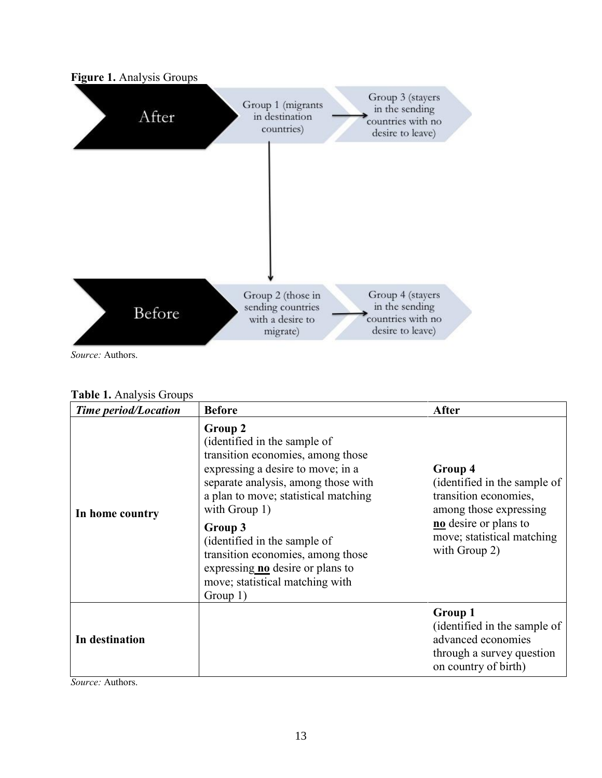

*Source:* Authors.

| Table 1. Analysis Groups |  |
|--------------------------|--|
|--------------------------|--|

| <b>Time period/Location</b> | <b>Before</b>                                                                                                                                                                                                                                                                                                                                                                                  | After                                                                                                                                                              |
|-----------------------------|------------------------------------------------------------------------------------------------------------------------------------------------------------------------------------------------------------------------------------------------------------------------------------------------------------------------------------------------------------------------------------------------|--------------------------------------------------------------------------------------------------------------------------------------------------------------------|
| In home country             | Group 2<br>(identified in the sample of<br>transition economies, among those<br>expressing a desire to move; in a<br>separate analysis, among those with<br>a plan to move; statistical matching<br>with Group 1)<br>Group 3<br>(identified in the sample of<br>transition economies, among those<br>expressing <b>no</b> desire or plans to<br>move; statistical matching with<br>Group $1$ ) | Group 4<br>(identified in the sample of<br>transition economies,<br>among those expressing<br>no desire or plans to<br>move; statistical matching<br>with Group 2) |
| In destination              |                                                                                                                                                                                                                                                                                                                                                                                                | Group 1<br>(identified in the sample of<br>advanced economies<br>through a survey question<br>on country of birth)                                                 |

*Source:* Authors.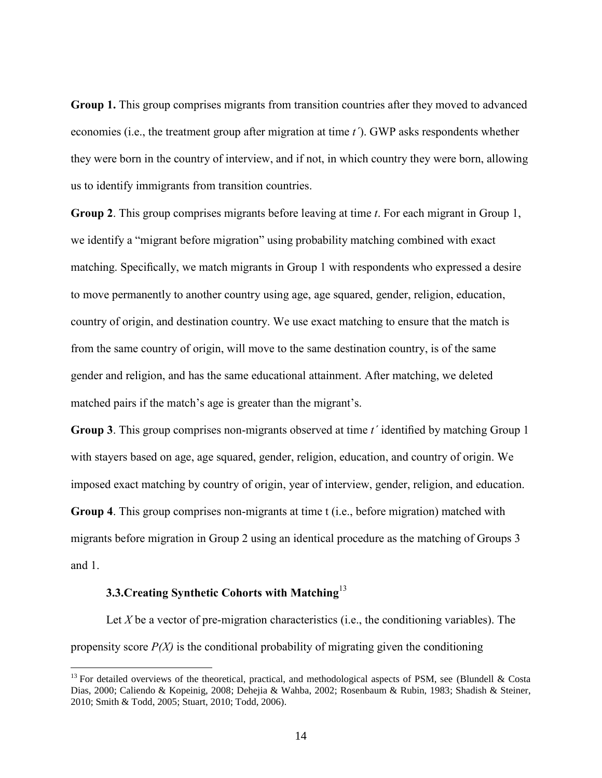**Group 1.** This group comprises migrants from transition countries after they moved to advanced economies (i.e., the treatment group after migration at time *t´*). GWP asks respondents whether they were born in the country of interview, and if not, in which country they were born, allowing us to identify immigrants from transition countries.

**Group 2**. This group comprises migrants before leaving at time *t*. For each migrant in Group 1, we identify a "migrant before migration" using probability matching combined with exact matching. Specifically, we match migrants in Group 1 with respondents who expressed a desire to move permanently to another country using age, age squared, gender, religion, education, country of origin, and destination country. We use exact matching to ensure that the match is from the same country of origin, will move to the same destination country, is of the same gender and religion, and has the same educational attainment. After matching, we deleted matched pairs if the match's age is greater than the migrant's.

**Group 3**. This group comprises non-migrants observed at time *t´* identified by matching Group 1 with stayers based on age, age squared, gender, religion, education, and country of origin. We imposed exact matching by country of origin, year of interview, gender, religion, and education. **Group 4**. This group comprises non-migrants at time t (i.e., before migration) matched with migrants before migration in Group 2 using an identical procedure as the matching of Groups 3 and 1.

#### **3.3.Creating Synthetic Cohorts with Matching**<sup>13</sup>

 $\overline{a}$ 

Let *X* be a vector of pre-migration characteristics (i.e., the conditioning variables). The propensity score  $P(X)$  is the conditional probability of migrating given the conditioning

<sup>&</sup>lt;sup>13</sup> For detailed overviews of the theoretical, practical, and methodological aspects of PSM, see (Blundell & Costa [Dias, 2000;](#page-40-10) [Caliendo & Kopeinig, 2008;](#page-40-11) [Dehejia & Wahba, 2002;](#page-41-8) [Rosenbaum & Rubin, 1983;](#page-42-4) [Shadish & Steiner,](#page-42-5)  [2010;](#page-42-5) [Smith & Todd, 2005;](#page-42-6) [Stuart, 2010;](#page-43-2) [Todd, 2006\)](#page-43-3).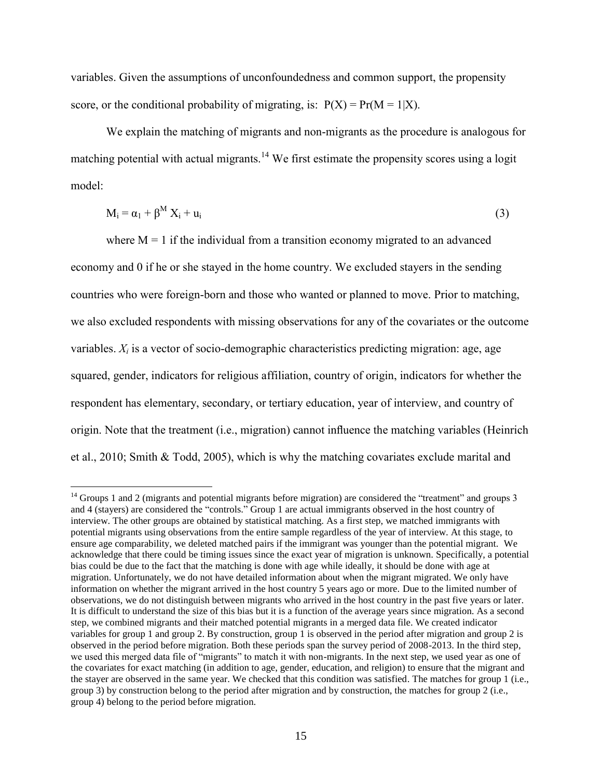variables. Given the assumptions of unconfoundedness and common support, the propensity score, or the conditional probability of migrating, is:  $P(X) = Pr(M = 1|X)$ .

We explain the matching of migrants and non-migrants as the procedure is analogous for matching potential with actual migrants.<sup>14</sup> We first estimate the propensity scores using a logit model:

$$
M_i = \alpha_1 + \beta^M X_i + u_i \tag{3}
$$

where  $M = 1$  if the individual from a transition economy migrated to an advanced economy and 0 if he or she stayed in the home country. We excluded stayers in the sending countries who were foreign-born and those who wanted or planned to move. Prior to matching, we also excluded respondents with missing observations for any of the covariates or the outcome variables.  $X_i$  is a vector of socio-demographic characteristics predicting migration: age, age squared, gender, indicators for religious affiliation, country of origin, indicators for whether the respondent has elementary, secondary, or tertiary education, year of interview, and country of origin. Note that the treatment (i.e., migration) cannot influence the matching variables (Heinrich et al., 2010; Smith & Todd, 2005), which is why the matching covariates exclude marital and

<sup>&</sup>lt;sup>14</sup> Groups 1 and 2 (migrants and potential migrants before migration) are considered the "treatment" and groups 3 and 4 (stayers) are considered the "controls." Group 1 are actual immigrants observed in the host country of interview. The other groups are obtained by statistical matching. As a first step, we matched immigrants with potential migrants using observations from the entire sample regardless of the year of interview. At this stage, to ensure age comparability, we deleted matched pairs if the immigrant was younger than the potential migrant. We acknowledge that there could be timing issues since the exact year of migration is unknown. Specifically, a potential bias could be due to the fact that the matching is done with age while ideally, it should be done with age at migration. Unfortunately, we do not have detailed information about when the migrant migrated. We only have information on whether the migrant arrived in the host country 5 years ago or more. Due to the limited number of observations, we do not distinguish between migrants who arrived in the host country in the past five years or later. It is difficult to understand the size of this bias but it is a function of the average years since migration. As a second step, we combined migrants and their matched potential migrants in a merged data file. We created indicator variables for group 1 and group 2. By construction, group 1 is observed in the period after migration and group 2 is observed in the period before migration. Both these periods span the survey period of 2008-2013. In the third step, we used this merged data file of "migrants" to match it with non-migrants. In the next step, we used year as one of the covariates for exact matching (in addition to age, gender, education, and religion) to ensure that the migrant and the stayer are observed in the same year. We checked that this condition was satisfied. The matches for group 1 (i.e., group 3) by construction belong to the period after migration and by construction, the matches for group 2 (i.e., group 4) belong to the period before migration.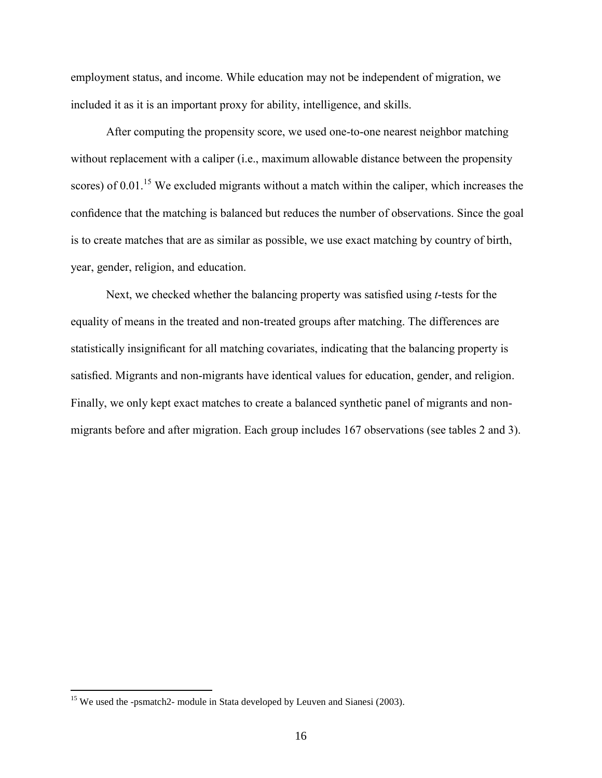employment status, and income. While education may not be independent of migration, we included it as it is an important proxy for ability, intelligence, and skills.

After computing the propensity score, we used one-to-one nearest neighbor matching without replacement with a caliper (i.e., maximum allowable distance between the propensity scores) of  $0.01$ .<sup>15</sup> We excluded migrants without a match within the caliper, which increases the confidence that the matching is balanced but reduces the number of observations. Since the goal is to create matches that are as similar as possible, we use exact matching by country of birth, year, gender, religion, and education.

Next, we checked whether the balancing property was satisfied using *t*-tests for the equality of means in the treated and non-treated groups after matching. The differences are statistically insignificant for all matching covariates, indicating that the balancing property is satisfied. Migrants and non-migrants have identical values for education, gender, and religion. Finally, we only kept exact matches to create a balanced synthetic panel of migrants and nonmigrants before and after migration. Each group includes 167 observations (see tables 2 and 3).

<sup>&</sup>lt;sup>15</sup> We used the -psmatch2- module in Stata developed by Leuven and Sianesi [\(2003\)](#page-41-9).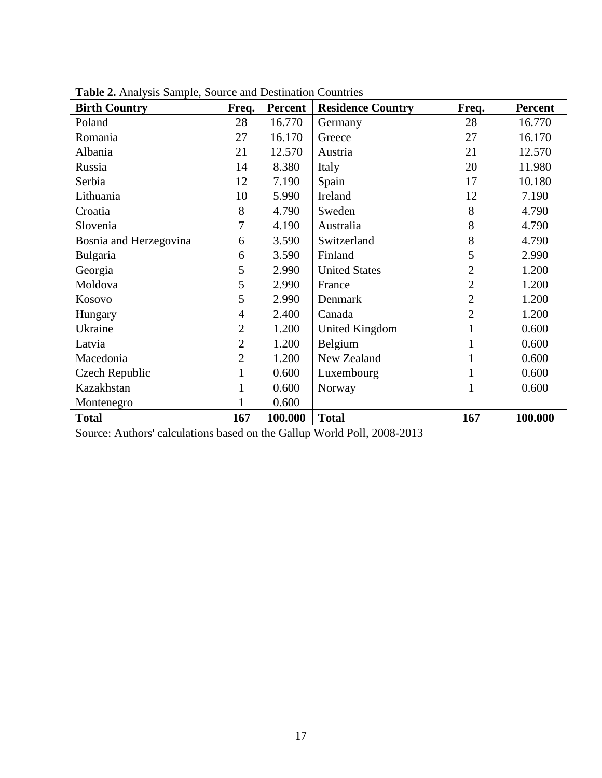| <b>Birth Country</b>   | Freq.          | <b>Percent</b> | <b>Residence Country</b> | Freq.          | <b>Percent</b> |
|------------------------|----------------|----------------|--------------------------|----------------|----------------|
| Poland                 | 28             | 16.770         | Germany                  | 28             | 16.770         |
| Romania                | 27             | 16.170         | Greece                   | 27             | 16.170         |
| Albania                | 21             | 12.570         | Austria                  | 21             | 12.570         |
| Russia                 | 14             | 8.380          | Italy                    | 20             | 11.980         |
| Serbia                 | 12             | 7.190          | Spain                    | 17             | 10.180         |
| Lithuania              | 10             | 5.990          | Ireland                  | 12             | 7.190          |
| Croatia                | 8              | 4.790          | Sweden                   | 8              | 4.790          |
| Slovenia               | 7              | 4.190          | Australia                | 8              | 4.790          |
| Bosnia and Herzegovina | 6              | 3.590          | Switzerland              | 8              | 4.790          |
| Bulgaria               | 6              | 3.590          | Finland                  | 5              | 2.990          |
| Georgia                | 5              | 2.990          | <b>United States</b>     | $\overline{2}$ | 1.200          |
| Moldova                | 5              | 2.990          | France                   | $\overline{2}$ | 1.200          |
| Kosovo                 | 5              | 2.990          | Denmark                  | $\overline{2}$ | 1.200          |
| Hungary                | $\overline{4}$ | 2.400          | Canada                   | $\overline{2}$ | 1.200          |
| Ukraine                | $\overline{2}$ | 1.200          | United Kingdom           | 1              | 0.600          |
| Latvia                 | $\overline{2}$ | 1.200          | Belgium                  | 1              | 0.600          |
| Macedonia              | $\overline{2}$ | 1.200          | New Zealand              |                | 0.600          |
| Czech Republic         |                | 0.600          | Luxembourg               | 1              | 0.600          |
| Kazakhstan             |                | 0.600          | Norway                   | $\mathbf{1}$   | 0.600          |
| Montenegro             |                | 0.600          |                          |                |                |
| <b>Total</b>           | 167            | 100.000        | <b>Total</b>             | 167            | 100.000        |

**Table 2.** Analysis Sample, Source and Destination Countries

Source: Authors' calculations based on the Gallup World Poll, 2008-2013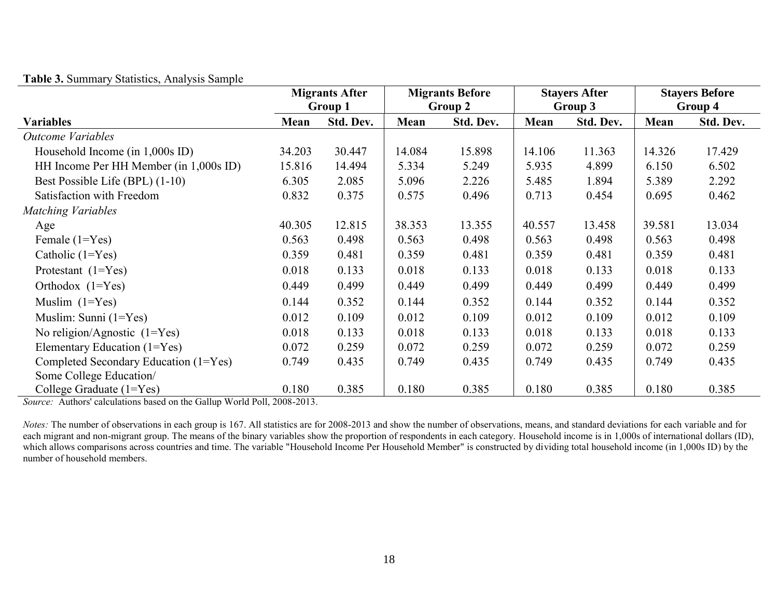|                                        | <b>Migrants After</b> |                    |        | <b>Migrants Before</b> |         | <b>Stayers After</b> |        | <b>Stayers Before</b> |
|----------------------------------------|-----------------------|--------------------|--------|------------------------|---------|----------------------|--------|-----------------------|
|                                        |                       | Group 1<br>Group 2 |        |                        | Group 3 |                      |        | Group 4               |
| <b>Variables</b>                       | Mean                  | Std. Dev.          | Mean   | Std. Dev.              | Mean    | Std. Dev.            | Mean   | Std. Dev.             |
| <b>Outcome Variables</b>               |                       |                    |        |                        |         |                      |        |                       |
| Household Income (in $1,000s$ ID)      | 34.203                | 30.447             | 14.084 | 15.898                 | 14.106  | 11.363               | 14.326 | 17.429                |
| HH Income Per HH Member (in 1,000s ID) | 15.816                | 14.494             | 5.334  | 5.249                  | 5.935   | 4.899                | 6.150  | 6.502                 |
| Best Possible Life (BPL) (1-10)        | 6.305                 | 2.085              | 5.096  | 2.226                  | 5.485   | 1.894                | 5.389  | 2.292                 |
| Satisfaction with Freedom              | 0.832                 | 0.375              | 0.575  | 0.496                  | 0.713   | 0.454                | 0.695  | 0.462                 |
| <b>Matching Variables</b>              |                       |                    |        |                        |         |                      |        |                       |
| Age                                    | 40.305                | 12.815             | 38.353 | 13.355                 | 40.557  | 13.458               | 39.581 | 13.034                |
| Female $(1=Yes)$                       | 0.563                 | 0.498              | 0.563  | 0.498                  | 0.563   | 0.498                | 0.563  | 0.498                 |
| Catholic $(1=Yes)$                     | 0.359                 | 0.481              | 0.359  | 0.481                  | 0.359   | 0.481                | 0.359  | 0.481                 |
| Protestant $(1 = Yes)$                 | 0.018                 | 0.133              | 0.018  | 0.133                  | 0.018   | 0.133                | 0.018  | 0.133                 |
| Orthodox $(1 = Yes)$                   | 0.449                 | 0.499              | 0.449  | 0.499                  | 0.449   | 0.499                | 0.449  | 0.499                 |
| Muslim $(1=Yes)$                       | 0.144                 | 0.352              | 0.144  | 0.352                  | 0.144   | 0.352                | 0.144  | 0.352                 |
| Muslim: Sunni $(1=Yes)$                | 0.012                 | 0.109              | 0.012  | 0.109                  | 0.012   | 0.109                | 0.012  | 0.109                 |
| No religion/Agnostic $(1=Yes)$         | 0.018                 | 0.133              | 0.018  | 0.133                  | 0.018   | 0.133                | 0.018  | 0.133                 |
| Elementary Education (1=Yes)           | 0.072                 | 0.259              | 0.072  | 0.259                  | 0.072   | 0.259                | 0.072  | 0.259                 |
| Completed Secondary Education (1=Yes)  | 0.749                 | 0.435              | 0.749  | 0.435                  | 0.749   | 0.435                | 0.749  | 0.435                 |
| Some College Education/                |                       |                    |        |                        |         |                      |        |                       |
| College Graduate $(1 = Yes)$           | 0.180                 | 0.385              | 0.180  | 0.385                  | 0.180   | 0.385                | 0.180  | 0.385                 |

**Table 3.** Summary Statistics, Analysis Sample

*Source:* Authors' calculations based on the Gallup World Poll, 2008-2013.

*Notes*: The number of observations in each group is 167. All statistics are for 2008-2013 and show the number of observations, means, and standard deviations for each variable and for each migrant and non-migrant group. The means of the binary variables show the proportion of respondents in each category. Household income is in 1,000s of international dollars (ID), which allows comparisons across countries and time. The variable "Household Income Per Household Member" is constructed by dividing total household income (in 1,000s ID) by the number of household members.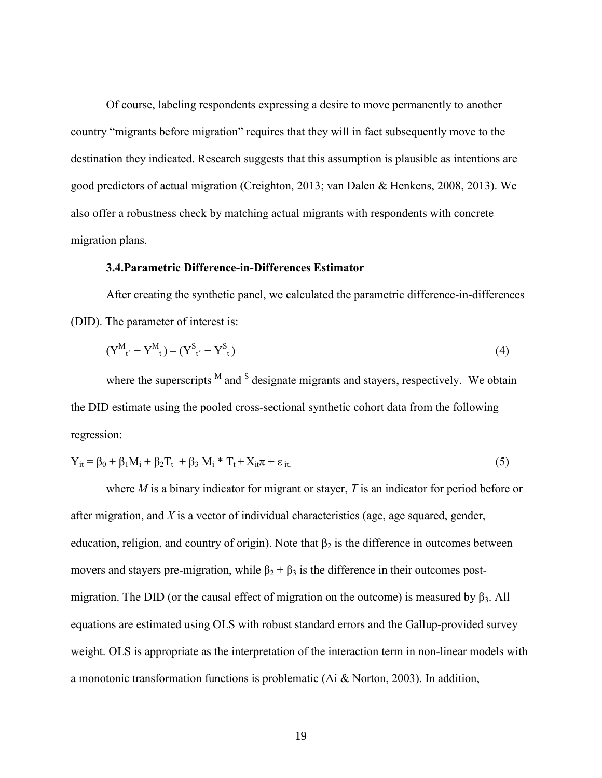Of course, labeling respondents expressing a desire to move permanently to another country "migrants before migration" requires that they will in fact subsequently move to the destination they indicated. Research suggests that this assumption is plausible as intentions are good predictors of actual migration (Creighton, 2013; van Dalen & Henkens, 2008, 2013). We also offer a robustness check by matching actual migrants with respondents with concrete migration plans.

#### **3.4.Parametric Difference-in-Differences Estimator**

After creating the synthetic panel, we calculated the parametric difference-in-differences (DID). The parameter of interest is:

$$
(Y^{M}_{t'} - Y^{M}_{t}) - (Y^{S}_{t'} - Y^{S}_{t})
$$
\n(4)

where the superscripts  $^{M}$  and  $^{S}$  designate migrants and stayers, respectively. We obtain the DID estimate using the pooled cross-sectional synthetic cohort data from the following regression:

$$
Y_{it} = \beta_0 + \beta_1 M_i + \beta_2 T_t + \beta_3 M_i * T_t + X_{it} \pi + \varepsilon_{it},
$$
\n
$$
\tag{5}
$$

where *M* is a binary indicator for migrant or stayer, *T* is an indicator for period before or after migration, and *X* is a vector of individual characteristics (age, age squared, gender, education, religion, and country of origin). Note that  $\beta_2$  is the difference in outcomes between movers and stayers pre-migration, while  $\beta_2 + \beta_3$  is the difference in their outcomes postmigration. The DID (or the causal effect of migration on the outcome) is measured by  $\beta_3$ . All equations are estimated using OLS with robust standard errors and the Gallup-provided survey weight. OLS is appropriate as the interpretation of the interaction term in non-linear models with a monotonic transformation functions is problematic (Ai & Norton, 2003). In addition,

19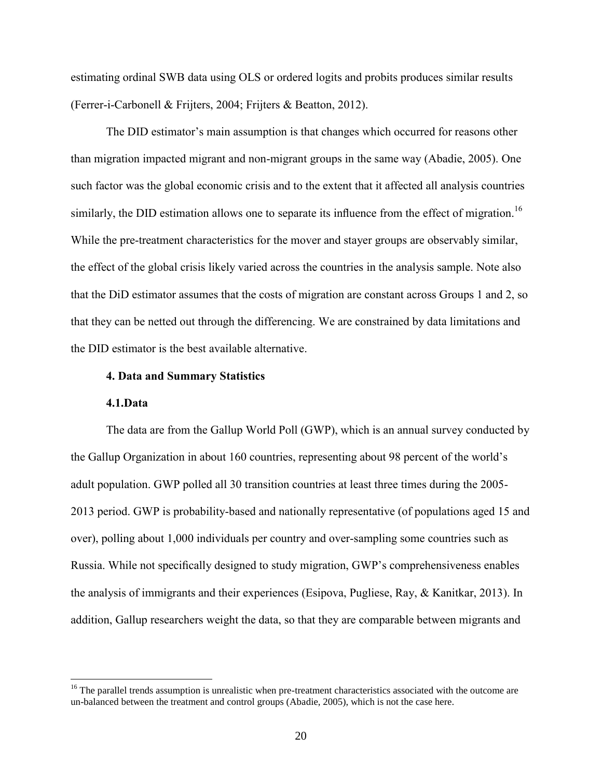estimating ordinal SWB data using OLS or ordered logits and probits produces similar results (Ferrer-i-Carbonell & Frijters, 2004; Frijters & Beatton, 2012).

The DID estimator's main assumption is that changes which occurred for reasons other than migration impacted migrant and non-migrant groups in the same way (Abadie, 2005). One such factor was the global economic crisis and to the extent that it affected all analysis countries similarly, the DID estimation allows one to separate its influence from the effect of migration.<sup>16</sup> While the pre-treatment characteristics for the mover and stayer groups are observably similar, the effect of the global crisis likely varied across the countries in the analysis sample. Note also that the DiD estimator assumes that the costs of migration are constant across Groups 1 and 2, so that they can be netted out through the differencing. We are constrained by data limitations and the DID estimator is the best available alternative.

#### **4. Data and Summary Statistics**

#### **4.1.Data**

 $\overline{a}$ 

The data are from the Gallup World Poll (GWP), which is an annual survey conducted by the Gallup Organization in about 160 countries, representing about 98 percent of the world's adult population. GWP polled all 30 transition countries at least three times during the 2005- 2013 period. GWP is probability-based and nationally representative (of populations aged 15 and over), polling about 1,000 individuals per country and over-sampling some countries such as Russia. While not specifically designed to study migration, GWP's comprehensiveness enables the analysis of immigrants and their experiences (Esipova, Pugliese, Ray, & Kanitkar, 2013). In addition, Gallup researchers weight the data, so that they are comparable between migrants and

<sup>&</sup>lt;sup>16</sup> The parallel trends assumption is unrealistic when pre-treatment characteristics associated with the outcome are un-balanced between the treatment and control groups (Abadie, 2005), which is not the case here.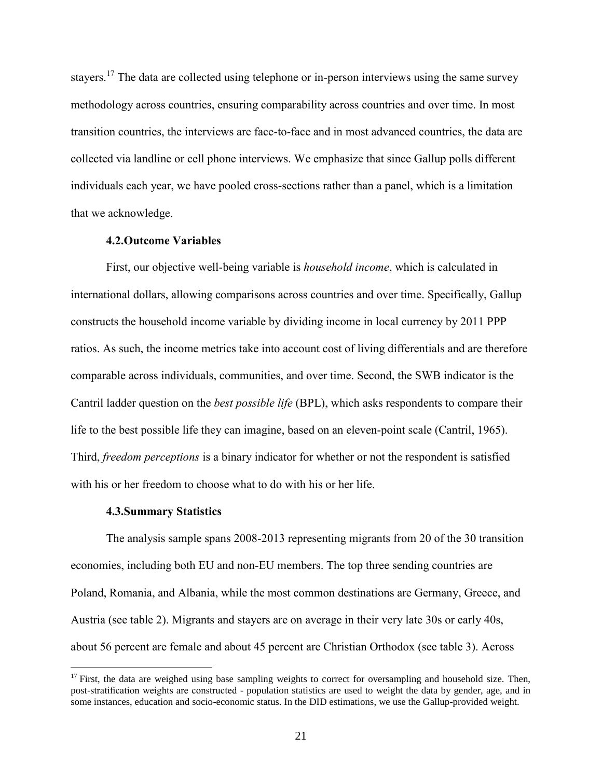stayers.<sup>17</sup> The data are collected using telephone or in-person interviews using the same survey methodology across countries, ensuring comparability across countries and over time. In most transition countries, the interviews are face-to-face and in most advanced countries, the data are collected via landline or cell phone interviews. We emphasize that since Gallup polls different individuals each year, we have pooled cross-sections rather than a panel, which is a limitation that we acknowledge.

#### **4.2.Outcome Variables**

First, our objective well-being variable is *household income*, which is calculated in international dollars, allowing comparisons across countries and over time. Specifically, Gallup constructs the household income variable by dividing income in local currency by 2011 PPP ratios. As such, the income metrics take into account cost of living differentials and are therefore comparable across individuals, communities, and over time. Second, the SWB indicator is the Cantril ladder question on the *best possible life* (BPL), which asks respondents to compare their life to the best possible life they can imagine, based on an eleven-point scale (Cantril, 1965). Third, *freedom perceptions* is a binary indicator for whether or not the respondent is satisfied with his or her freedom to choose what to do with his or her life.

#### **4.3.Summary Statistics**

 $\overline{a}$ 

The analysis sample spans 2008-2013 representing migrants from 20 of the 30 transition economies, including both EU and non-EU members. The top three sending countries are Poland, Romania, and Albania, while the most common destinations are Germany, Greece, and Austria (see table 2). Migrants and stayers are on average in their very late 30s or early 40s, about 56 percent are female and about 45 percent are Christian Orthodox (see table 3). Across

<sup>&</sup>lt;sup>17</sup> First, the data are weighed using base sampling weights to correct for oversampling and household size. Then, post-stratification weights are constructed - population statistics are used to weight the data by gender, age, and in some instances, education and socio-economic status. In the DID estimations, we use the Gallup-provided weight.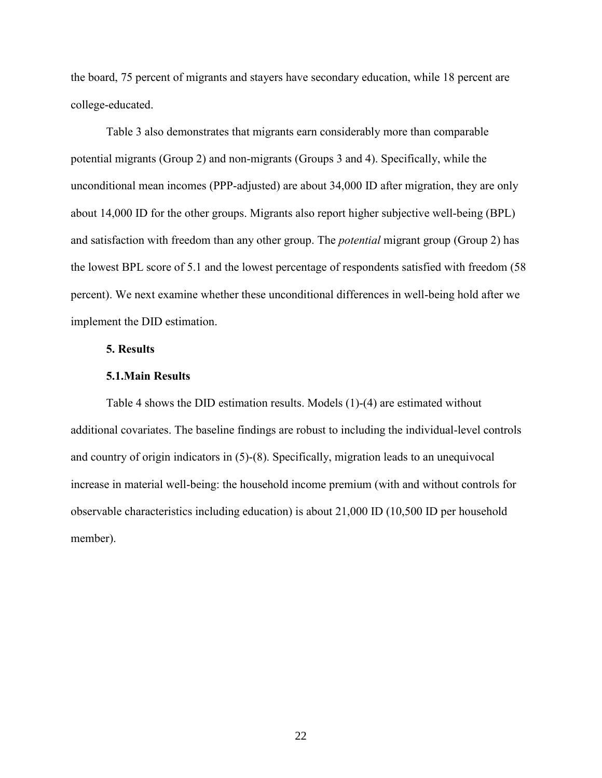the board, 75 percent of migrants and stayers have secondary education, while 18 percent are college-educated.

Table 3 also demonstrates that migrants earn considerably more than comparable potential migrants (Group 2) and non-migrants (Groups 3 and 4). Specifically, while the unconditional mean incomes (PPP-adjusted) are about 34,000 ID after migration, they are only about 14,000 ID for the other groups. Migrants also report higher subjective well-being (BPL) and satisfaction with freedom than any other group. The *potential* migrant group (Group 2) has the lowest BPL score of 5.1 and the lowest percentage of respondents satisfied with freedom (58 percent). We next examine whether these unconditional differences in well-being hold after we implement the DID estimation.

#### **5. Results**

#### **5.1.Main Results**

Table 4 shows the DID estimation results. Models (1)-(4) are estimated without additional covariates. The baseline findings are robust to including the individual-level controls and country of origin indicators in (5)-(8). Specifically, migration leads to an unequivocal increase in material well-being: the household income premium (with and without controls for observable characteristics including education) is about 21,000 ID (10,500 ID per household member).

22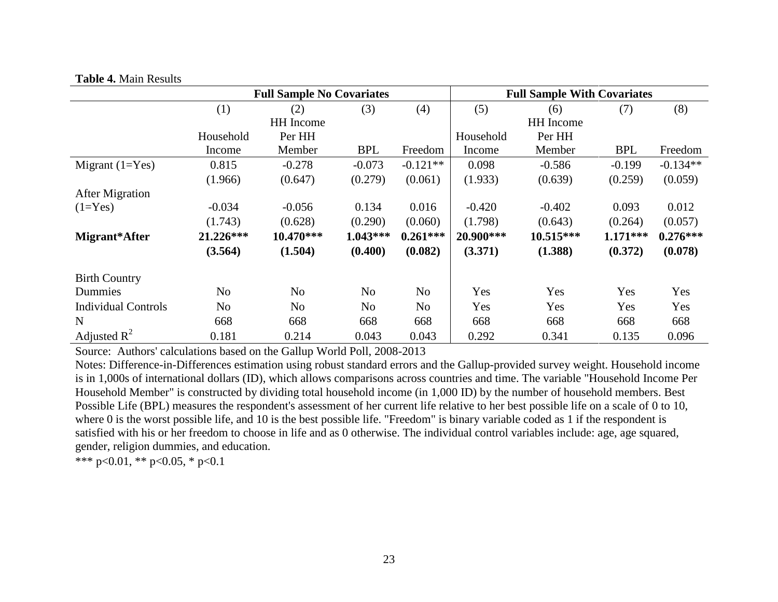#### **Table 4.** Main Results

|                            |                | <b>Full Sample No Covariates</b> |                |            | <b>Full Sample With Covariates</b> |                  |            |            |
|----------------------------|----------------|----------------------------------|----------------|------------|------------------------------------|------------------|------------|------------|
|                            | (1)            | (2)                              | (3)            | (4)        | (5)                                | (6)              | (7)        | (8)        |
|                            |                | <b>HH</b> Income                 |                |            |                                    | <b>HH</b> Income |            |            |
|                            | Household      | Per HH                           |                |            | Household                          | Per HH           |            |            |
|                            | Income         | Member                           | <b>BPL</b>     | Freedom    | Income                             | Member           | <b>BPL</b> | Freedom    |
| Migrant $(1=Yes)$          | 0.815          | $-0.278$                         | $-0.073$       | $-0.121**$ | 0.098                              | $-0.586$         | $-0.199$   | $-0.134**$ |
|                            | (1.966)        | (0.647)                          | (0.279)        | (0.061)    | (1.933)                            | (0.639)          | (0.259)    | (0.059)    |
| <b>After Migration</b>     |                |                                  |                |            |                                    |                  |            |            |
| $(1=Yes)$                  | $-0.034$       | $-0.056$                         | 0.134          | 0.016      | $-0.420$                           | $-0.402$         | 0.093      | 0.012      |
|                            | (1.743)        | (0.628)                          | (0.290)        | (0.060)    | (1.798)                            | (0.643)          | (0.264)    | (0.057)    |
| Migrant*After              | 21.226***      | 10.470***                        | $1.043***$     | $0.261***$ | 20.900***                          | 10.515***        | $1.171***$ | $0.276***$ |
|                            | (3.564)        | (1.504)                          | (0.400)        | (0.082)    | (3.371)                            | (1.388)          | (0.372)    | (0.078)    |
| <b>Birth Country</b>       |                |                                  |                |            |                                    |                  |            |            |
| Dummies                    | N <sub>o</sub> | N <sub>o</sub>                   | N <sub>o</sub> | No         | Yes                                | Yes              | Yes        | Yes        |
| <b>Individual Controls</b> | N <sub>o</sub> | N <sub>o</sub>                   | N <sub>o</sub> | No         | Yes                                | Yes              | Yes        | Yes        |
| N                          | 668            | 668                              | 668            | 668        | 668                                | 668              | 668        | 668        |
| Adjusted $\mathbb{R}^2$    | 0.181          | 0.214                            | 0.043          | 0.043      | 0.292                              | 0.341            | 0.135      | 0.096      |

Source: Authors' calculations based on the Gallup World Poll, 2008-2013

Notes: Difference-in-Differences estimation using robust standard errors and the Gallup-provided survey weight. Household income is in 1,000s of international dollars (ID), which allows comparisons across countries and time. The variable "Household Income Per Household Member" is constructed by dividing total household income (in 1,000 ID) by the number of household members. Best Possible Life (BPL) measures the respondent's assessment of her current life relative to her best possible life on a scale of 0 to 10, where 0 is the worst possible life, and 10 is the best possible life. "Freedom" is binary variable coded as 1 if the respondent is satisfied with his or her freedom to choose in life and as 0 otherwise. The individual control variables include: age, age squared, gender, religion dummies, and education.

\*\*\* p<0.01, \*\* p<0.05, \* p<0.1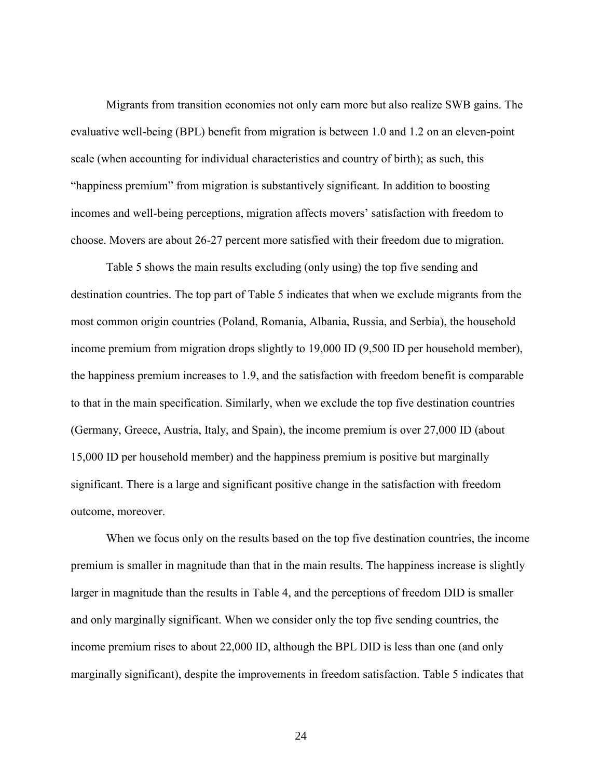Migrants from transition economies not only earn more but also realize SWB gains. The evaluative well-being (BPL) benefit from migration is between 1.0 and 1.2 on an eleven-point scale (when accounting for individual characteristics and country of birth); as such, this "happiness premium" from migration is substantively significant. In addition to boosting incomes and well-being perceptions, migration affects movers' satisfaction with freedom to choose. Movers are about 26-27 percent more satisfied with their freedom due to migration.

Table 5 shows the main results excluding (only using) the top five sending and destination countries. The top part of Table 5 indicates that when we exclude migrants from the most common origin countries (Poland, Romania, Albania, Russia, and Serbia), the household income premium from migration drops slightly to 19,000 ID (9,500 ID per household member), the happiness premium increases to 1.9, and the satisfaction with freedom benefit is comparable to that in the main specification. Similarly, when we exclude the top five destination countries (Germany, Greece, Austria, Italy, and Spain), the income premium is over 27,000 ID (about 15,000 ID per household member) and the happiness premium is positive but marginally significant. There is a large and significant positive change in the satisfaction with freedom outcome, moreover.

When we focus only on the results based on the top five destination countries, the income premium is smaller in magnitude than that in the main results. The happiness increase is slightly larger in magnitude than the results in Table 4, and the perceptions of freedom DID is smaller and only marginally significant. When we consider only the top five sending countries, the income premium rises to about 22,000 ID, although the BPL DID is less than one (and only marginally significant), despite the improvements in freedom satisfaction. Table 5 indicates that

24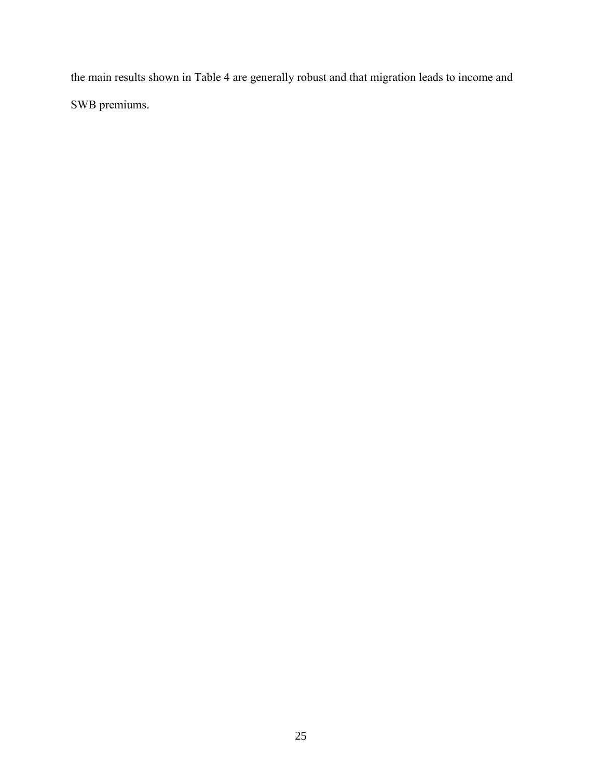the main results shown in Table 4 are generally robust and that migration leads to income and SWB premiums.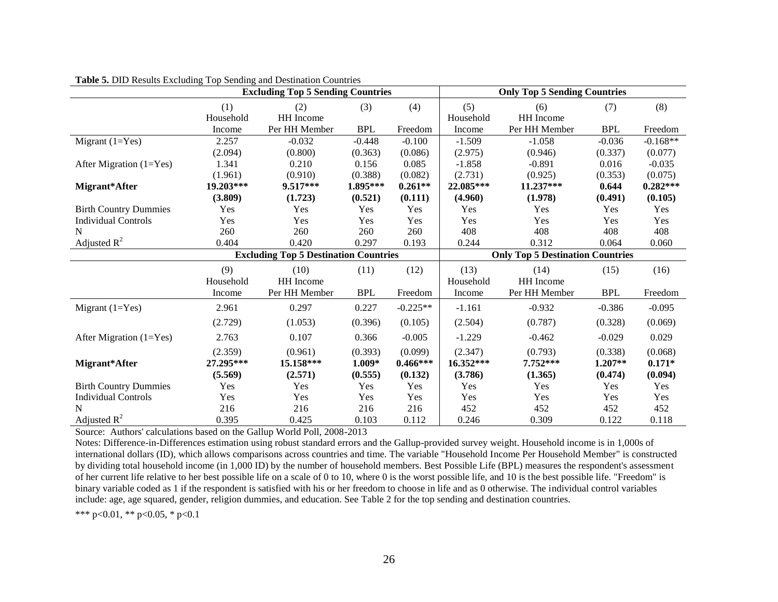|                              |                  | <b>Excluding Top 5 Sending Countries</b>     |            |            |                  | <b>Only Top 5 Sending Countries</b>     |            |            |  |
|------------------------------|------------------|----------------------------------------------|------------|------------|------------------|-----------------------------------------|------------|------------|--|
|                              | (1)<br>Household | (2)<br>HH Income                             | (3)        | (4)        | (5)<br>Household | (6)<br>HH Income                        | (7)        | (8)        |  |
|                              | Income           | Per HH Member                                | <b>BPL</b> | Freedom    | Income           | Per HH Member                           | <b>BPL</b> | Freedom    |  |
| Migrant $(1=Yes)$            | 2.257            | $-0.032$                                     | $-0.448$   | $-0.100$   | $-1.509$         | $-1.058$                                | $-0.036$   | $-0.168**$ |  |
|                              | (2.094)          | (0.800)                                      | (0.363)    | (0.086)    | (2.975)          | (0.946)                                 | (0.337)    | (0.077)    |  |
| After Migration $(1=Yes)$    | 1.341            | 0.210                                        | 0.156      | 0.085      | $-1.858$         | $-0.891$                                | 0.016      | $-0.035$   |  |
|                              | (1.961)          | (0.910)                                      | (0.388)    | (0.082)    | (2.731)          | (0.925)                                 | (0.353)    | (0.075)    |  |
| Migrant*After                | 19.203***        | $9.517***$                                   | 1.895***   | $0.261**$  | 22.085***        | $11.237***$                             | 0.644      | $0.282***$ |  |
|                              | (3.809)          | (1.723)                                      | (0.521)    | (0.111)    | (4.960)          | (1.978)                                 | (0.491)    | (0.105)    |  |
| <b>Birth Country Dummies</b> | Yes              | Yes                                          | Yes        | Yes        | Yes              | Yes                                     | Yes        | Yes        |  |
| <b>Individual Controls</b>   | Yes              | Yes                                          | Yes        | Yes        | Yes              | Yes                                     | Yes        | Yes        |  |
| N                            | 260              | 260                                          | 260        | 260        | 408              | 408                                     | 408        | 408        |  |
| Adjusted $R^2$               | 0.404            | 0.420                                        | 0.297      | 0.193      | 0.244            | 0.312                                   | 0.064      | 0.060      |  |
|                              |                  | <b>Excluding Top 5 Destination Countries</b> |            |            |                  | <b>Only Top 5 Destination Countries</b> |            |            |  |
|                              | (9)              | (10)                                         | (11)       | (12)       | (13)             | (14)                                    | (15)       | (16)       |  |
|                              | Household        | HH Income                                    |            |            | Household        | HH Income                               |            |            |  |
|                              | Income           | Per HH Member                                | <b>BPL</b> | Freedom    | Income           | Per HH Member                           | <b>BPL</b> | Freedom    |  |
| Migrant $(1=Yes)$            | 2.961            | 0.297                                        | 0.227      | $-0.225**$ | $-1.161$         | $-0.932$                                | $-0.386$   | $-0.095$   |  |
|                              | (2.729)          | (1.053)                                      | (0.396)    | (0.105)    | (2.504)          | (0.787)                                 | (0.328)    | (0.069)    |  |
| After Migration $(1=Yes)$    | 2.763            | 0.107                                        | 0.366      | $-0.005$   | $-1.229$         | $-0.462$                                | $-0.029$   | 0.029      |  |
|                              | (2.359)          | (0.961)                                      | (0.393)    | (0.099)    | (2.347)          | (0.793)                                 | (0.338)    | (0.068)    |  |
| Migrant*After                | 27.295***        | 15.158***                                    | $1.009*$   | $0.466***$ | 16.352***        | 7.752***                                | $1.207**$  | $0.171*$   |  |
|                              | (5.569)          | (2.571)                                      | (0.555)    | (0.132)    | (3.786)          | (1.365)                                 | (0.474)    | (0.094)    |  |
| <b>Birth Country Dummies</b> | Yes              | Yes                                          | Yes        | Yes        | Yes              | Yes                                     | Yes        | Yes        |  |
| <b>Individual Controls</b>   | Yes              | Yes                                          | Yes        | Yes        | Yes              | Yes                                     | Yes        | Yes        |  |
| N                            | 216              | 216                                          | 216        | 216        | 452              | 452                                     | 452        | 452        |  |
| Adjusted $R^2$               | 0.395            | 0.425                                        | 0.103      | 0.112      | 0.246            | 0.309                                   | 0.122      | 0.118      |  |

**Table 5.** DID Results Excluding Top Sending and Destination Countries

Source: Authors' calculations based on the Gallup World Poll, 2008-2013

Notes: Difference-in-Differences estimation using robust standard errors and the Gallup-provided survey weight. Household income is in 1,000s of international dollars (ID), which allows comparisons across countries and time. The variable "Household Income Per Household Member" is constructed by dividing total household income (in 1,000 ID) by the number of household members. Best Possible Life (BPL) measures the respondent's assessment of her current life relative to her best possible life on a scale of 0 to 10, where 0 is the worst possible life, and 10 is the best possible life. "Freedom" is binary variable coded as 1 if the respondent is satisfied with his or her freedom to choose in life and as 0 otherwise. The individual control variables include: age, age squared, gender, religion dummies, and education. See Table 2 for the top sending and destination countries.

\*\*\* p<0.01, \*\* p<0.05, \* p<0.1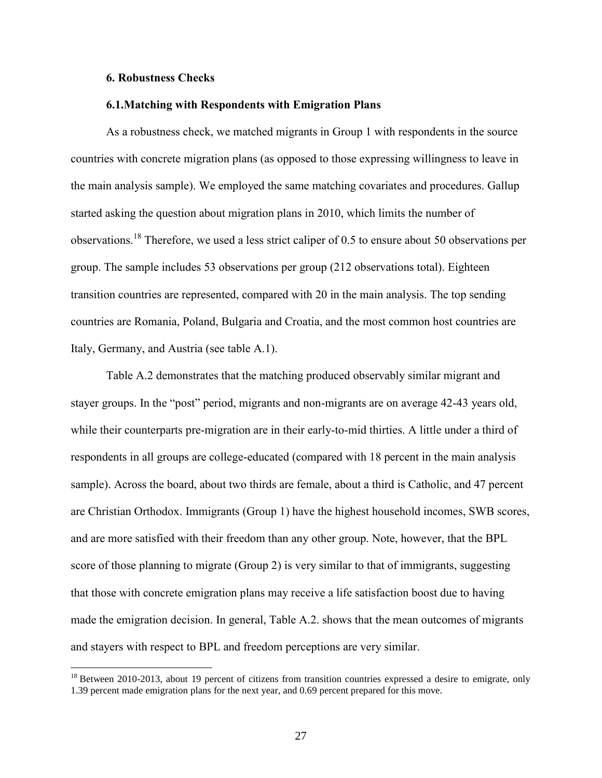#### **6. Robustness Checks**

 $\overline{a}$ 

#### **6.1.Matching with Respondents with Emigration Plans**

As a robustness check, we matched migrants in Group 1 with respondents in the source countries with concrete migration plans (as opposed to those expressing willingness to leave in the main analysis sample). We employed the same matching covariates and procedures. Gallup started asking the question about migration plans in 2010, which limits the number of observations.<sup>18</sup> Therefore, we used a less strict caliper of 0.5 to ensure about 50 observations per group. The sample includes 53 observations per group (212 observations total). Eighteen transition countries are represented, compared with 20 in the main analysis. The top sending countries are Romania, Poland, Bulgaria and Croatia, and the most common host countries are Italy, Germany, and Austria (see table A.1).

Table A.2 demonstrates that the matching produced observably similar migrant and stayer groups. In the "post" period, migrants and non-migrants are on average 42-43 years old, while their counterparts pre-migration are in their early-to-mid thirties. A little under a third of respondents in all groups are college-educated (compared with 18 percent in the main analysis sample). Across the board, about two thirds are female, about a third is Catholic, and 47 percent are Christian Orthodox. Immigrants (Group 1) have the highest household incomes, SWB scores, and are more satisfied with their freedom than any other group. Note, however, that the BPL score of those planning to migrate (Group 2) is very similar to that of immigrants, suggesting that those with concrete emigration plans may receive a life satisfaction boost due to having made the emigration decision. In general, Table A.2. shows that the mean outcomes of migrants and stayers with respect to BPL and freedom perceptions are very similar.

 $18$  Between 2010-2013, about 19 percent of citizens from transition countries expressed a desire to emigrate, only 1.39 percent made emigration plans for the next year, and 0.69 percent prepared for this move.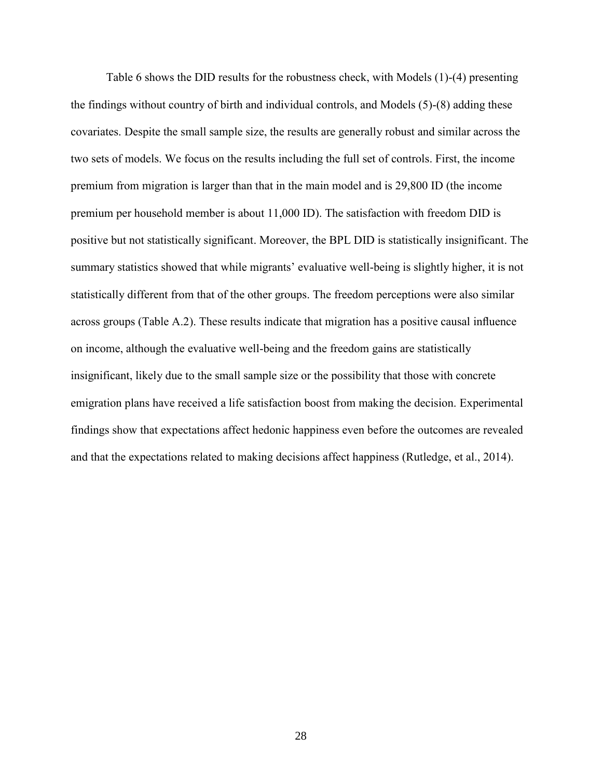Table 6 shows the DID results for the robustness check, with Models (1)-(4) presenting the findings without country of birth and individual controls, and Models (5)-(8) adding these covariates. Despite the small sample size, the results are generally robust and similar across the two sets of models. We focus on the results including the full set of controls. First, the income premium from migration is larger than that in the main model and is 29,800 ID (the income premium per household member is about 11,000 ID). The satisfaction with freedom DID is positive but not statistically significant. Moreover, the BPL DID is statistically insignificant. The summary statistics showed that while migrants' evaluative well-being is slightly higher, it is not statistically different from that of the other groups. The freedom perceptions were also similar across groups (Table A.2). These results indicate that migration has a positive causal influence on income, although the evaluative well-being and the freedom gains are statistically insignificant, likely due to the small sample size or the possibility that those with concrete emigration plans have received a life satisfaction boost from making the decision. Experimental findings show that expectations affect hedonic happiness even before the outcomes are revealed and that the expectations related to making decisions affect happiness (Rutledge, et al., 2014).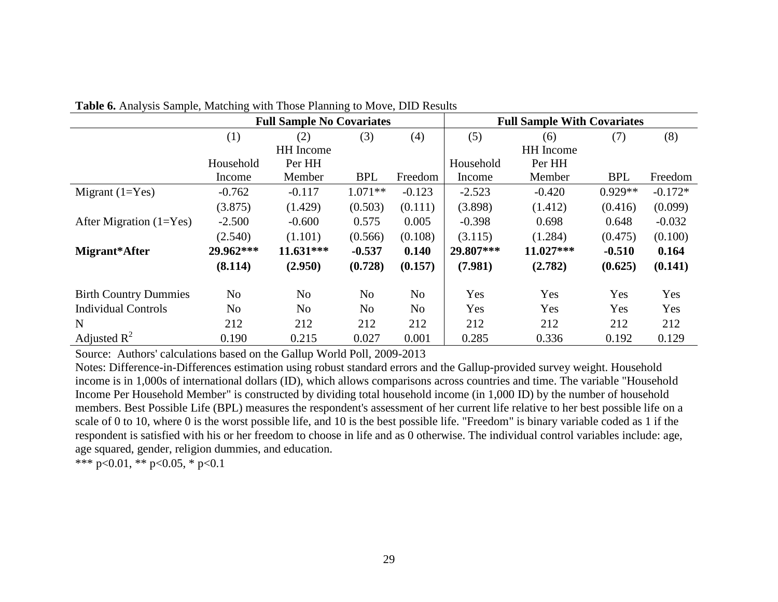|                              |                | <b>Full Sample No Covariates</b> |            |                | <b>Full Sample With Covariates</b> |                  |            |           |
|------------------------------|----------------|----------------------------------|------------|----------------|------------------------------------|------------------|------------|-----------|
|                              | (1)            | (2)                              | (3)        | (4)            | (5)                                | (6)              | (7)        | (8)       |
|                              |                | <b>HH</b> Income                 |            |                |                                    | <b>HH</b> Income |            |           |
|                              | Household      | Per HH                           |            |                | Household                          | Per HH           |            |           |
|                              | Income         | Member                           | <b>BPL</b> | Freedom        | Income                             | Member           | <b>BPL</b> | Freedom   |
| Migrant $(1=Yes)$            | $-0.762$       | $-0.117$                         | $1.071**$  | $-0.123$       | $-2.523$                           | $-0.420$         | $0.929**$  | $-0.172*$ |
|                              | (3.875)        | (1.429)                          | (0.503)    | (0.111)        | (3.898)                            | (1.412)          | (0.416)    | (0.099)   |
| After Migration $(1=Yes)$    | $-2.500$       | $-0.600$                         | 0.575      | 0.005          | $-0.398$                           | 0.698            | 0.648      | $-0.032$  |
|                              | (2.540)        | (1.101)                          | (0.566)    | (0.108)        | (3.115)                            | (1.284)          | (0.475)    | (0.100)   |
| Migrant*After                | 29.962***      | $11.631***$                      | $-0.537$   | 0.140          | 29.807***                          | 11.027***        | $-0.510$   | 0.164     |
|                              | (8.114)        | (2.950)                          | (0.728)    | (0.157)        | (7.981)                            | (2.782)          | (0.625)    | (0.141)   |
| <b>Birth Country Dummies</b> | No             | No                               | No         | No.            | Yes                                | Yes              | Yes        | Yes       |
| <b>Individual Controls</b>   | N <sub>o</sub> | N <sub>0</sub>                   | No         | N <sub>o</sub> | Yes                                | Yes              | Yes        | Yes       |
| $\mathbf N$                  | 212            | 212                              | 212        | 212            | 212                                | 212              | 212        | 212       |
| Adjusted $\mathbb{R}^2$      | 0.190          | 0.215                            | 0.027      | 0.001          | 0.285                              | 0.336            | 0.192      | 0.129     |

**Table 6.** Analysis Sample, Matching with Those Planning to Move, DID Results

Source: Authors' calculations based on the Gallup World Poll, 2009-2013

Notes: Difference-in-Differences estimation using robust standard errors and the Gallup-provided survey weight. Household income is in 1,000s of international dollars (ID), which allows comparisons across countries and time. The variable "Household Income Per Household Member" is constructed by dividing total household income (in 1,000 ID) by the number of household members. Best Possible Life (BPL) measures the respondent's assessment of her current life relative to her best possible life on a scale of 0 to 10, where 0 is the worst possible life, and 10 is the best possible life. "Freedom" is binary variable coded as 1 if the respondent is satisfied with his or her freedom to choose in life and as 0 otherwise. The individual control variables include: age, age squared, gender, religion dummies, and education.

\*\*\* p<0.01, \*\* p<0.05, \* p<0.1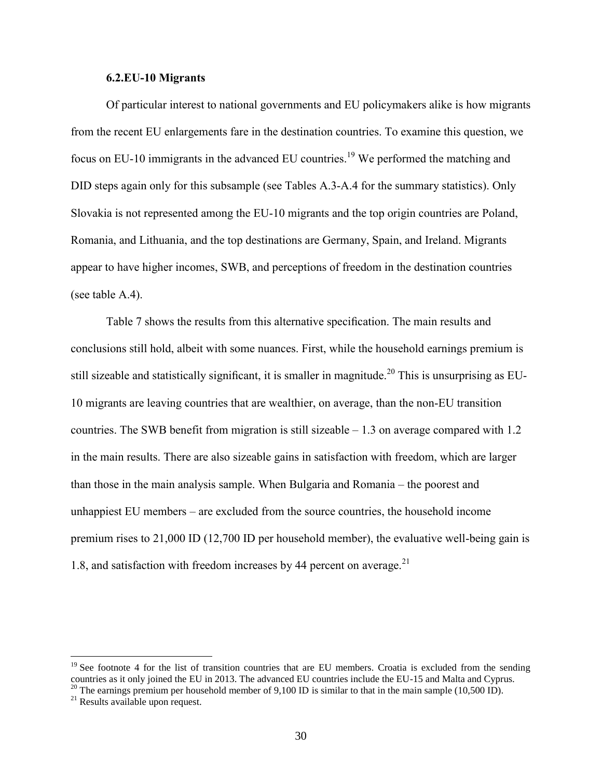#### **6.2.EU-10 Migrants**

Of particular interest to national governments and EU policymakers alike is how migrants from the recent EU enlargements fare in the destination countries. To examine this question, we focus on EU-10 immigrants in the advanced EU countries.<sup>19</sup> We performed the matching and DID steps again only for this subsample (see Tables A.3-A.4 for the summary statistics). Only Slovakia is not represented among the EU-10 migrants and the top origin countries are Poland, Romania, and Lithuania, and the top destinations are Germany, Spain, and Ireland. Migrants appear to have higher incomes, SWB, and perceptions of freedom in the destination countries (see table A.4).

Table 7 shows the results from this alternative specification. The main results and conclusions still hold, albeit with some nuances. First, while the household earnings premium is still sizeable and statistically significant, it is smaller in magnitude.<sup>20</sup> This is unsurprising as EU-10 migrants are leaving countries that are wealthier, on average, than the non-EU transition countries. The SWB benefit from migration is still sizeable  $-1.3$  on average compared with 1.2 in the main results. There are also sizeable gains in satisfaction with freedom, which are larger than those in the main analysis sample. When Bulgaria and Romania – the poorest and unhappiest EU members – are excluded from the source countries, the household income premium rises to 21,000 ID (12,700 ID per household member), the evaluative well-being gain is 1.8, and satisfaction with freedom increases by 44 percent on average. $^{21}$ 

 $19$  See footnote 4 for the list of transition countries that are EU members. Croatia is excluded from the sending countries as it only joined the EU in 2013. The advanced EU countries include the EU-15 and Malta and Cyprus. <sup>20</sup> The earnings premium per household member of 9,100 ID is similar to that in the main sample (10,500 ID).

 $21$  Results available upon request.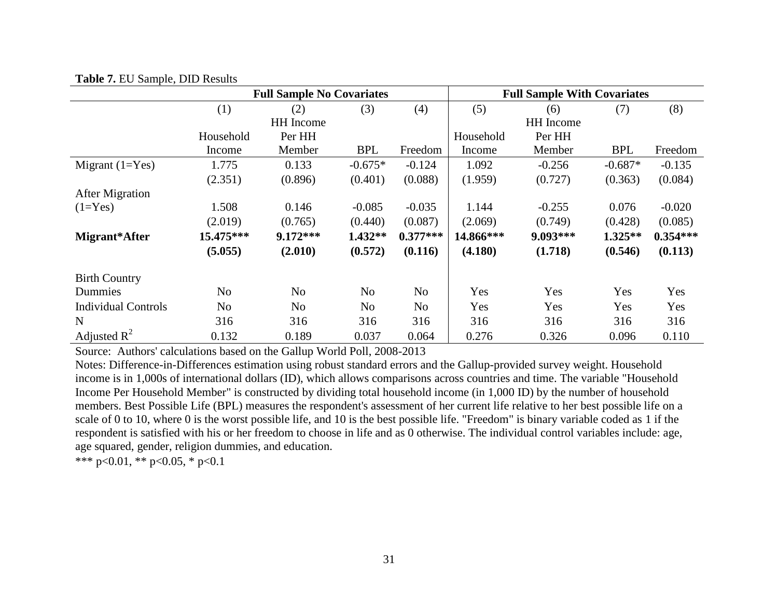|                            |                | <b>Full Sample No Covariates</b> | <b>Full Sample With Covariates</b> |                |           |           |            |            |
|----------------------------|----------------|----------------------------------|------------------------------------|----------------|-----------|-----------|------------|------------|
|                            | (1)            | (2)                              | (3)                                | (4)            | (5)       | (6)       | (7)        | (8)        |
|                            |                | <b>HH</b> Income                 |                                    |                |           | HH Income |            |            |
|                            | Household      | Per HH                           |                                    |                | Household | Per HH    |            |            |
|                            | Income         | Member                           | <b>BPL</b>                         | Freedom        | Income    | Member    | <b>BPL</b> | Freedom    |
| Migrant $(1=Yes)$          | 1.775          | 0.133                            | $-0.675*$                          | $-0.124$       | 1.092     | $-0.256$  | $-0.687*$  | $-0.135$   |
|                            | (2.351)        | (0.896)                          | (0.401)                            | (0.088)        | (1.959)   | (0.727)   | (0.363)    | (0.084)    |
| <b>After Migration</b>     |                |                                  |                                    |                |           |           |            |            |
| $(1=Yes)$                  | 1.508          | 0.146                            | $-0.085$                           | $-0.035$       | 1.144     | $-0.255$  | 0.076      | $-0.020$   |
|                            | (2.019)        | (0.765)                          | (0.440)                            | (0.087)        | (2.069)   | (0.749)   | (0.428)    | (0.085)    |
| Migrant*After              | 15.475***      | 9.172***                         | $1.432**$                          | $0.377***$     | 14.866*** | 9.093***  | $1.325**$  | $0.354***$ |
|                            | (5.055)        | (2.010)                          | (0.572)                            | (0.116)        | (4.180)   | (1.718)   | (0.546)    | (0.113)    |
| <b>Birth Country</b>       |                |                                  |                                    |                |           |           |            |            |
| Dummies                    | N <sub>o</sub> | N <sub>o</sub>                   | N <sub>o</sub>                     | No.            | Yes       | Yes       | Yes        | Yes        |
| <b>Individual Controls</b> | N <sub>o</sub> | N <sub>o</sub>                   | No                                 | N <sub>o</sub> | Yes       | Yes       | Yes        | Yes        |
| $\mathbf N$                | 316            | 316                              | 316                                | 316            | 316       | 316       | 316        | 316        |
| Adjusted $\mathbb{R}^2$    | 0.132          | 0.189                            | 0.037                              | 0.064          | 0.276     | 0.326     | 0.096      | 0.110      |

#### **Table 7.** EU Sample, DID Results

Source: Authors' calculations based on the Gallup World Poll, 2008-2013

Notes: Difference-in-Differences estimation using robust standard errors and the Gallup-provided survey weight. Household income is in 1,000s of international dollars (ID), which allows comparisons across countries and time. The variable "Household Income Per Household Member" is constructed by dividing total household income (in 1,000 ID) by the number of household members. Best Possible Life (BPL) measures the respondent's assessment of her current life relative to her best possible life on a scale of 0 to 10, where 0 is the worst possible life, and 10 is the best possible life. "Freedom" is binary variable coded as 1 if the respondent is satisfied with his or her freedom to choose in life and as 0 otherwise. The individual control variables include: age, age squared, gender, religion dummies, and education.

\*\*\* p<0.01, \*\* p<0.05, \* p<0.1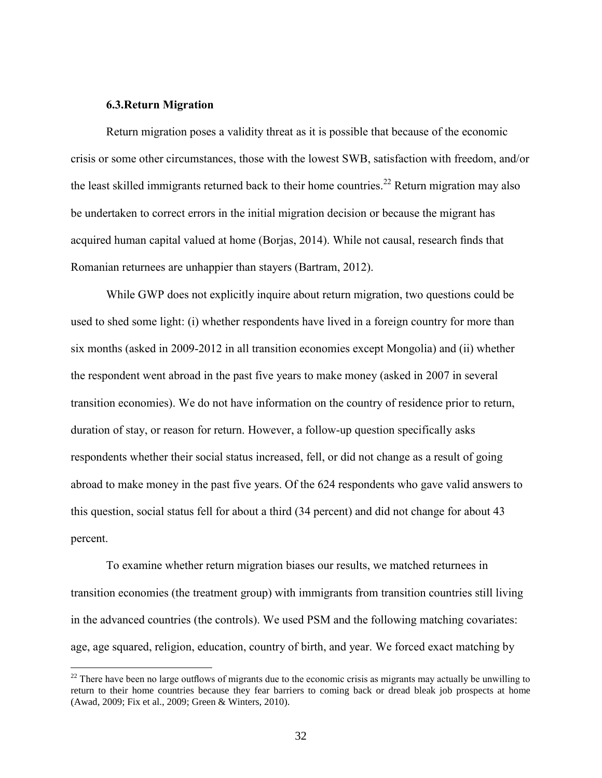#### **6.3.Return Migration**

 $\overline{a}$ 

Return migration poses a validity threat as it is possible that because of the economic crisis or some other circumstances, those with the lowest SWB, satisfaction with freedom, and/or the least skilled immigrants returned back to their home countries.<sup>22</sup> Return migration may also be undertaken to correct errors in the initial migration decision or because the migrant has acquired human capital valued at home (Borjas, 2014). While not causal, research finds that Romanian returnees are unhappier than stayers (Bartram, 2012).

While GWP does not explicitly inquire about return migration, two questions could be used to shed some light: (i) whether respondents have lived in a foreign country for more than six months (asked in 2009-2012 in all transition economies except Mongolia) and (ii) whether the respondent went abroad in the past five years to make money (asked in 2007 in several transition economies). We do not have information on the country of residence prior to return, duration of stay, or reason for return. However, a follow-up question specifically asks respondents whether their social status increased, fell, or did not change as a result of going abroad to make money in the past five years. Of the 624 respondents who gave valid answers to this question, social status fell for about a third (34 percent) and did not change for about 43 percent.

To examine whether return migration biases our results, we matched returnees in transition economies (the treatment group) with immigrants from transition countries still living in the advanced countries (the controls). We used PSM and the following matching covariates: age, age squared, religion, education, country of birth, and year. We forced exact matching by

 $22$  There have been no large outflows of migrants due to the economic crisis as migrants may actually be unwilling to return to their home countries because they fear barriers to coming back or dread bleak job prospects at home [\(Awad, 2009;](#page-40-12) [Fix et al., 2009;](#page-41-10) Green & Winters, 2010).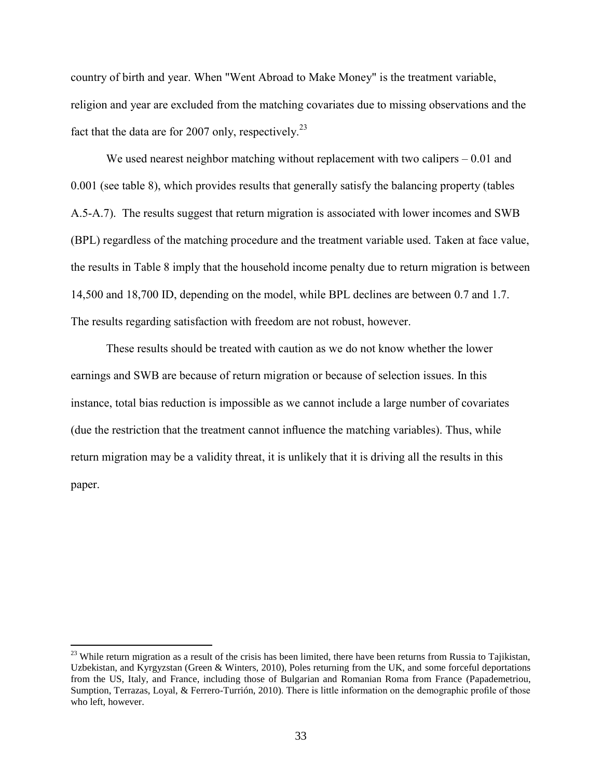country of birth and year. When "Went Abroad to Make Money" is the treatment variable, religion and year are excluded from the matching covariates due to missing observations and the fact that the data are for 2007 only, respectively.<sup>23</sup>

We used nearest neighbor matching without replacement with two calipers  $-0.01$  and 0.001 (see table 8), which provides results that generally satisfy the balancing property (tables A.5-A.7). The results suggest that return migration is associated with lower incomes and SWB (BPL) regardless of the matching procedure and the treatment variable used. Taken at face value, the results in Table 8 imply that the household income penalty due to return migration is between 14,500 and 18,700 ID, depending on the model, while BPL declines are between 0.7 and 1.7. The results regarding satisfaction with freedom are not robust, however.

These results should be treated with caution as we do not know whether the lower earnings and SWB are because of return migration or because of selection issues. In this instance, total bias reduction is impossible as we cannot include a large number of covariates (due the restriction that the treatment cannot influence the matching variables). Thus, while return migration may be a validity threat, it is unlikely that it is driving all the results in this paper.

 $^{23}$  While return migration as a result of the crisis has been limited, there have been returns from Russia to Tajikistan, Uzbekistan, and Kyrgyzstan (Green & Winters, 2010), Poles returning from the UK, and some forceful deportations from the US, Italy, and France, including those of Bulgarian and Romanian Roma from France [\(Papademetriou,](#page-42-7)  [Sumption, Terrazas, Loyal, & Ferrero-Turrión, 2010\)](#page-42-7). There is little information on the demographic profile of those who left, however.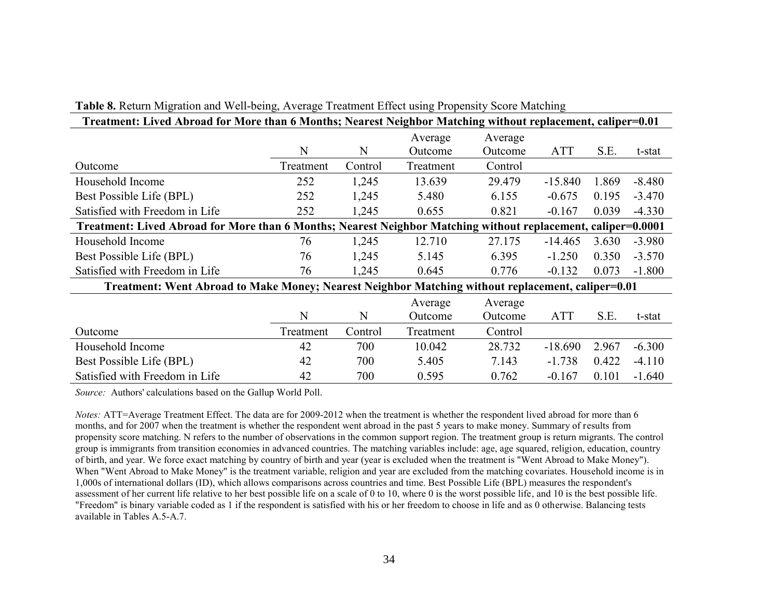| Treatment: Lived Abroad for More than 6 Months; Nearest Neighbor Matching without replacement, caliper=0.01   |           |         |           |         |            |       |          |  |  |
|---------------------------------------------------------------------------------------------------------------|-----------|---------|-----------|---------|------------|-------|----------|--|--|
|                                                                                                               |           |         | Average   | Average |            |       |          |  |  |
|                                                                                                               | N         | N       | Outcome   | Outcome | <b>ATT</b> | S.E.  | t-stat   |  |  |
| Outcome                                                                                                       | Treatment | Control | Treatment | Control |            |       |          |  |  |
| Household Income                                                                                              | 252       | 1,245   | 13.639    | 29.479  | $-15.840$  | 1.869 | $-8.480$ |  |  |
| Best Possible Life (BPL)                                                                                      | 252       | 1,245   | 5.480     | 6.155   | $-0.675$   | 0.195 | $-3.470$ |  |  |
| Satisfied with Freedom in Life                                                                                | 252       | 1,245   | 0.655     | 0.821   | $-0.167$   | 0.039 | $-4.330$ |  |  |
| Treatment: Lived Abroad for More than 6 Months; Nearest Neighbor Matching without replacement, caliper=0.0001 |           |         |           |         |            |       |          |  |  |
| Household Income                                                                                              | 76        | 1,245   | 12.710    | 27.175  | $-14.465$  | 3.630 | $-3.980$ |  |  |
| Best Possible Life (BPL)                                                                                      | 76        | 1,245   | 5.145     | 6.395   | $-1.250$   | 0.350 | $-3.570$ |  |  |
| Satisfied with Freedom in Life                                                                                | 76        | 1,245   | 0.645     | 0.776   | $-0.132$   | 0.073 | $-1.800$ |  |  |
| Treatment: Went Abroad to Make Money; Nearest Neighbor Matching without replacement, caliper=0.01             |           |         |           |         |            |       |          |  |  |
|                                                                                                               |           |         | Average   | Average |            |       |          |  |  |
|                                                                                                               | N         | N       | Outcome   | Outcome | <b>ATT</b> | S.E.  | t-stat   |  |  |
| Outcome                                                                                                       | Treatment | Control | Treatment | Control |            |       |          |  |  |
| Household Income                                                                                              | 42        | 700     | 10.042    | 28.732  | $-18.690$  | 2.967 | $-6.300$ |  |  |
| Best Possible Life (BPL)                                                                                      | 42        | 700     | 5.405     | 7.143   | $-1.738$   | 0.422 | $-4.110$ |  |  |
| Satisfied with Freedom in Life                                                                                | 42        | 700     | 0.595     | 0.762   | $-0.167$   | 0.101 | $-1.640$ |  |  |

# **Table 8.** Return Migration and Well-being, Average Treatment Effect using Propensity Score Matching

*Source:* Authors' calculations based on the Gallup World Poll.

*Notes:* ATT=Average Treatment Effect. The data are for 2009-2012 when the treatment is whether the respondent lived abroad for more than 6 months, and for 2007 when the treatment is whether the respondent went abroad in the past 5 years to make money. Summary of results from propensity score matching. N refers to the number of observations in the common support region. The treatment group is return migrants. The control group is immigrants from transition economies in advanced countries. The matching variables include: age, age squared, religion, education, country of birth, and year. We force exact matching by country of birth and year (year is excluded when the treatment is "Went Abroad to Make Money"). When "Went Abroad to Make Money" is the treatment variable, religion and year are excluded from the matching covariates. Household income is in 1,000s of international dollars (ID), which allows comparisons across countries and time. Best Possible Life (BPL) measures the respondent's assessment of her current life relative to her best possible life on a scale of 0 to 10, where 0 is the worst possible life, and 10 is the best possible life. "Freedom" is binary variable coded as 1 if the respondent is satisfied with his or her freedom to choose in life and as 0 otherwise. Balancing tests available in Tables A.5-A.7.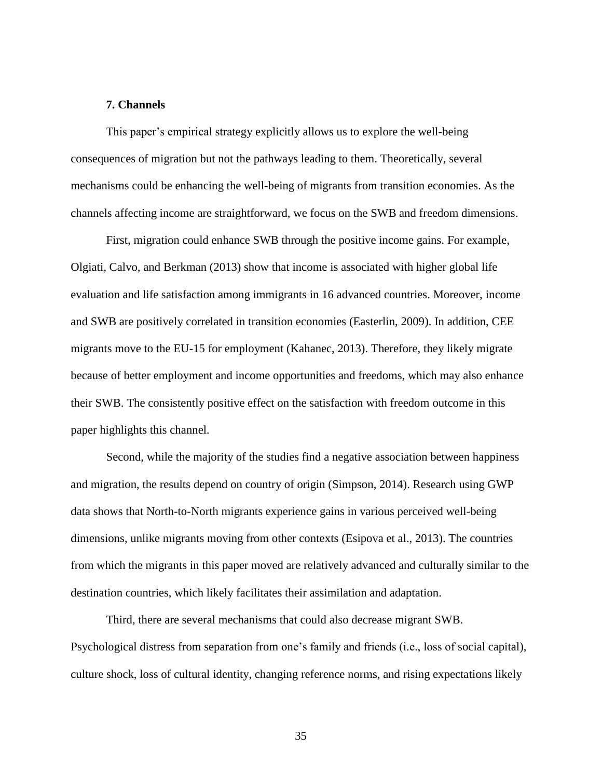#### **7. Channels**

This paper's empirical strategy explicitly allows us to explore the well-being consequences of migration but not the pathways leading to them. Theoretically, several mechanisms could be enhancing the well-being of migrants from transition economies. As the channels affecting income are straightforward, we focus on the SWB and freedom dimensions.

First, migration could enhance SWB through the positive income gains. For example, Olgiati, Calvo, and Berkman (2013) show that income is associated with higher global life evaluation and life satisfaction among immigrants in 16 advanced countries. Moreover, income and SWB are positively correlated in transition economies (Easterlin, 2009). In addition, CEE migrants move to the EU-15 for employment (Kahanec, 2013). Therefore, they likely migrate because of better employment and income opportunities and freedoms, which may also enhance their SWB. The consistently positive effect on the satisfaction with freedom outcome in this paper highlights this channel.

Second, while the majority of the studies find a negative association between happiness and migration, the results depend on country of origin (Simpson, 2014). Research using GWP data shows that North-to-North migrants experience gains in various perceived well-being dimensions, unlike migrants moving from other contexts (Esipova et al., 2013). The countries from which the migrants in this paper moved are relatively advanced and culturally similar to the destination countries, which likely facilitates their assimilation and adaptation.

Third, there are several mechanisms that could also decrease migrant SWB. Psychological distress from separation from one's family and friends (i.e., loss of social capital), culture shock, loss of cultural identity, changing reference norms, and rising expectations likely

35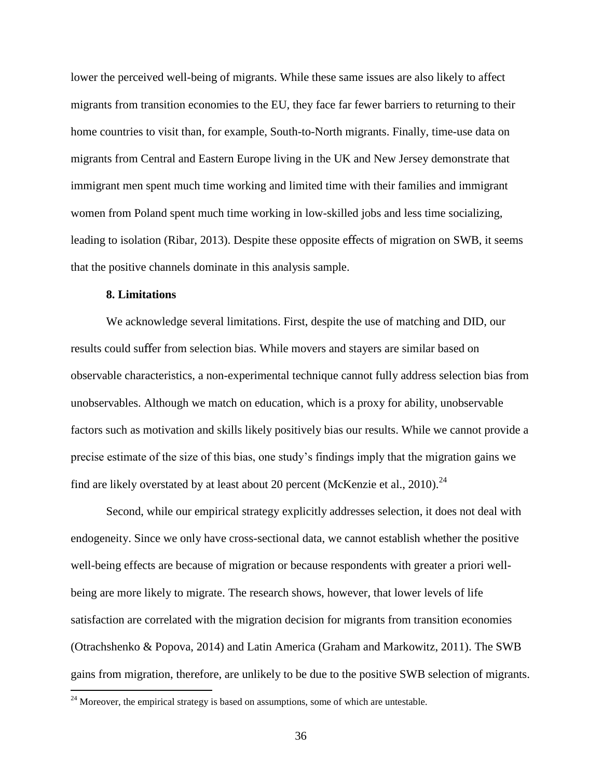lower the perceived well-being of migrants. While these same issues are also likely to affect migrants from transition economies to the EU, they face far fewer barriers to returning to their home countries to visit than, for example, South-to-North migrants. Finally, time-use data on migrants from Central and Eastern Europe living in the UK and New Jersey demonstrate that immigrant men spent much time working and limited time with their families and immigrant women from Poland spent much time working in low-skilled jobs and less time socializing, leading to isolation (Ribar, 2013). Despite these opposite effects of migration on SWB, it seems that the positive channels dominate in this analysis sample.

#### **8. Limitations**

 $\overline{a}$ 

We acknowledge several limitations. First, despite the use of matching and DID, our results could suffer from selection bias. While movers and stayers are similar based on observable characteristics, a non-experimental technique cannot fully address selection bias from unobservables. Although we match on education, which is a proxy for ability, unobservable factors such as motivation and skills likely positively bias our results. While we cannot provide a precise estimate of the size of this bias, one study's findings imply that the migration gains we find are likely overstated by at least about 20 percent (McKenzie et al., 2010).<sup>24</sup>

Second, while our empirical strategy explicitly addresses selection, it does not deal with endogeneity. Since we only have cross-sectional data, we cannot establish whether the positive well-being effects are because of migration or because respondents with greater a priori wellbeing are more likely to migrate. The research shows, however, that lower levels of life satisfaction are correlated with the migration decision for migrants from transition economies (Otrachshenko & Popova, 2014) and Latin America (Graham and Markowitz, 2011). The SWB gains from migration, therefore, are unlikely to be due to the positive SWB selection of migrants.

 $24$  Moreover, the empirical strategy is based on assumptions, some of which are untestable.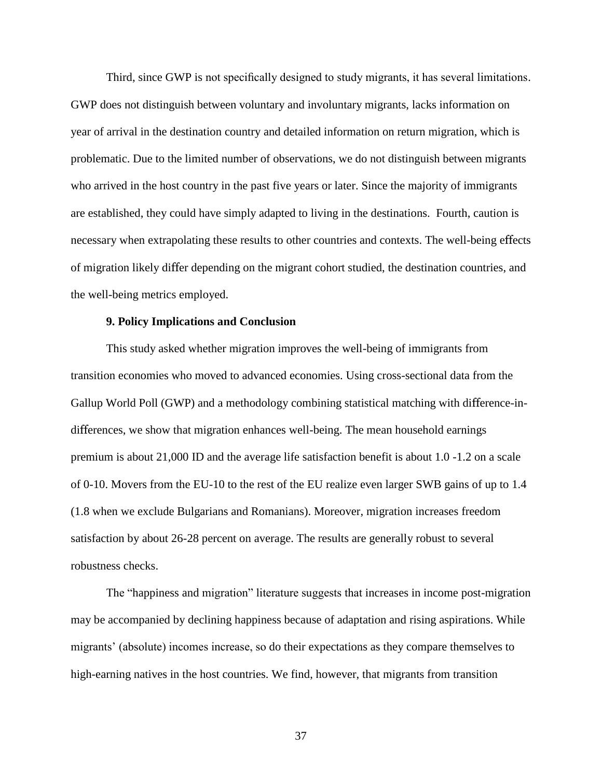Third, since GWP is not specifically designed to study migrants, it has several limitations. GWP does not distinguish between voluntary and involuntary migrants, lacks information on year of arrival in the destination country and detailed information on return migration, which is problematic. Due to the limited number of observations, we do not distinguish between migrants who arrived in the host country in the past five years or later. Since the majority of immigrants are established, they could have simply adapted to living in the destinations. Fourth, caution is necessary when extrapolating these results to other countries and contexts. The well-being effects of migration likely differ depending on the migrant cohort studied, the destination countries, and the well-being metrics employed.

#### **9. Policy Implications and Conclusion**

This study asked whether migration improves the well-being of immigrants from transition economies who moved to advanced economies. Using cross-sectional data from the Gallup World Poll (GWP) and a methodology combining statistical matching with difference-indifferences, we show that migration enhances well-being. The mean household earnings premium is about 21,000 ID and the average life satisfaction benefit is about 1.0 -1.2 on a scale of 0-10. Movers from the EU-10 to the rest of the EU realize even larger SWB gains of up to 1.4 (1.8 when we exclude Bulgarians and Romanians). Moreover, migration increases freedom satisfaction by about 26-28 percent on average. The results are generally robust to several robustness checks.

The "happiness and migration" literature suggests that increases in income post-migration may be accompanied by declining happiness because of adaptation and rising aspirations. While migrants' (absolute) incomes increase, so do their expectations as they compare themselves to high-earning natives in the host countries. We find, however, that migrants from transition

37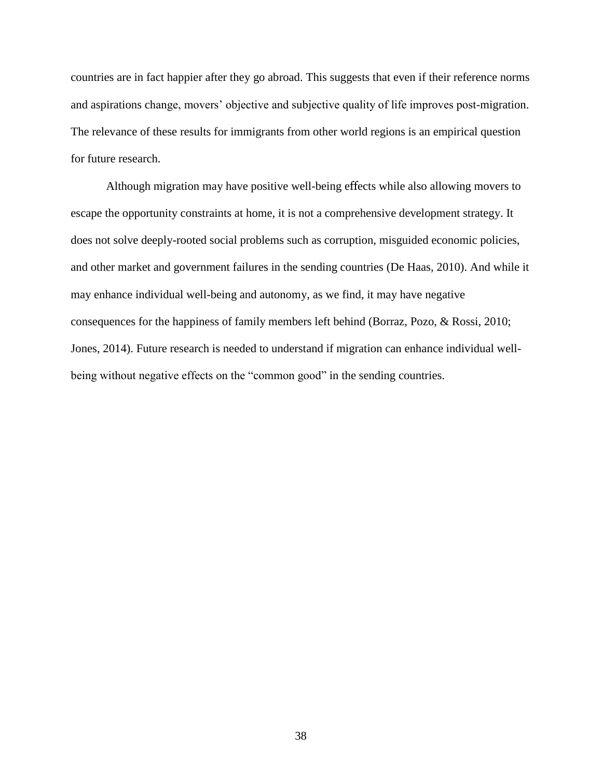countries are in fact happier after they go abroad. This suggests that even if their reference norms and aspirations change, movers' objective and subjective quality of life improves post-migration. The relevance of these results for immigrants from other world regions is an empirical question for future research.

Although migration may have positive well-being effects while also allowing movers to escape the opportunity constraints at home, it is not a comprehensive development strategy. It does not solve deeply-rooted social problems such as corruption, misguided economic policies, and other market and government failures in the sending countries (De Haas, 2010). And while it may enhance individual well-being and autonomy, as we find, it may have negative consequences for the happiness of family members left behind (Borraz, Pozo, & Rossi, 2010; Jones, 2014). Future research is needed to understand if migration can enhance individual wellbeing without negative effects on the "common good" in the sending countries.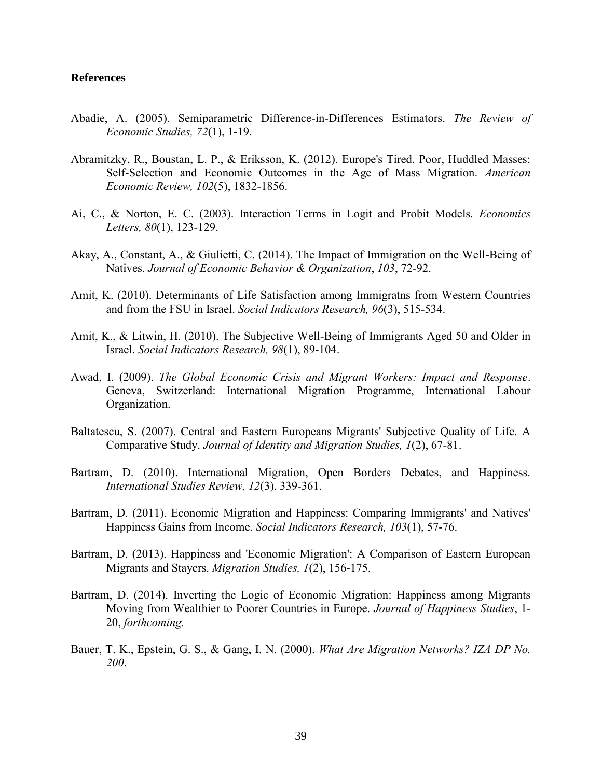#### **References**

- <span id="page-40-5"></span>Abadie, A. (2005). Semiparametric Difference-in-Differences Estimators. *The Review of Economic Studies, 72*(1), 1-19.
- <span id="page-40-6"></span>Abramitzky, R., Boustan, L. P., & Eriksson, K. (2012). Europe's Tired, Poor, Huddled Masses: Self-Selection and Economic Outcomes in the Age of Mass Migration. *American Economic Review, 102*(5), 1832-1856.
- <span id="page-40-12"></span>Ai, C., & Norton, E. C. (2003). Interaction Terms in Logit and Probit Models. *Economics Letters, 80*(1), 123-129.
- <span id="page-40-7"></span>Akay, A., Constant, A., & Giulietti, C. (2014). The Impact of Immigration on the Well-Being of Natives. *Journal of Economic Behavior & Organization*, *103*, 72-92.
- <span id="page-40-8"></span>Amit, K. (2010). Determinants of Life Satisfaction among Immigratns from Western Countries and from the FSU in Israel. *Social Indicators Research, 96*(3), 515-534.
- <span id="page-40-9"></span>Amit, K., & Litwin, H. (2010). The Subjective Well-Being of Immigrants Aged 50 and Older in Israel. *Social Indicators Research, 98*(1), 89-104.
- <span id="page-40-4"></span>Awad, I. (2009). *The Global Economic Crisis and Migrant Workers: Impact and Response*. Geneva, Switzerland: International Migration Programme, International Labour Organization.
- <span id="page-40-0"></span>Baltatescu, S. (2007). Central and Eastern Europeans Migrants' Subjective Quality of Life. A Comparative Study. *Journal of Identity and Migration Studies, 1*(2), 67-81.
- <span id="page-40-10"></span>Bartram, D. (2010). International Migration, Open Borders Debates, and Happiness. *International Studies Review, 12*(3), 339-361.
- <span id="page-40-1"></span>Bartram, D. (2011). Economic Migration and Happiness: Comparing Immigrants' and Natives' Happiness Gains from Income. *Social Indicators Research, 103*(1), 57-76.
- <span id="page-40-2"></span>Bartram, D. (2013). Happiness and 'Economic Migration': A Comparison of Eastern European Migrants and Stayers. *Migration Studies, 1*(2), 156-175.
- <span id="page-40-11"></span>Bartram, D. (2014). Inverting the Logic of Economic Migration: Happiness among Migrants Moving from Wealthier to Poorer Countries in Europe. *Journal of Happiness Studies*, 1- 20, *forthcoming.*
- <span id="page-40-3"></span>Bauer, T. K., Epstein, G. S., & Gang, I. N. (2000). *What Are Migration Networks? IZA DP No. 200*.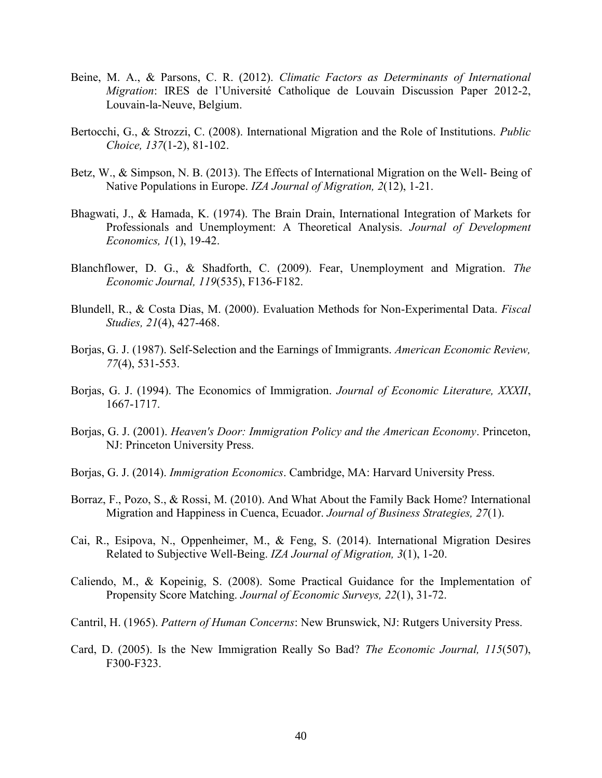- <span id="page-41-7"></span>Beine, M. A., & Parsons, C. R. (2012). *Climatic Factors as Determinants of International Migration*: IRES de l'Université Catholique de Louvain Discussion Paper 2012-2, Louvain-la-Neuve, Belgium.
- Bertocchi, G., & Strozzi, C. (2008). International Migration and the Role of Institutions. *Public Choice, 137*(1-2), 81-102.
- <span id="page-41-0"></span>Betz, W., & Simpson, N. B. (2013). The Effects of International Migration on the Well- Being of Native Populations in Europe. *IZA Journal of Migration, 2*(12), 1-21.
- <span id="page-41-5"></span>Bhagwati, J., & Hamada, K. (1974). The Brain Drain, International Integration of Markets for Professionals and Unemployment: A Theoretical Analysis. *Journal of Development Economics, 1*(1), 19-42.
- <span id="page-41-8"></span>Blanchflower, D. G., & Shadforth, C. (2009). Fear, Unemployment and Migration. *The Economic Journal, 119*(535), F136-F182.
- Blundell, R., & Costa Dias, M. (2000). Evaluation Methods for Non-Experimental Data. *Fiscal Studies, 21*(4), 427-468.
- <span id="page-41-2"></span>Borjas, G. J. (1987). Self-Selection and the Earnings of Immigrants. *American Economic Review, 77*(4), 531-553.
- Borjas, G. J. (1994). The Economics of Immigration. *Journal of Economic Literature, XXXII*, 1667-1717.
- <span id="page-41-6"></span>Borjas, G. J. (2001). *Heaven's Door: Immigration Policy and the American Economy*. Princeton, NJ: Princeton University Press.
- <span id="page-41-4"></span>Borjas, G. J. (2014). *Immigration Economics*. Cambridge, MA: Harvard University Press.
- <span id="page-41-10"></span>Borraz, F., Pozo, S., & Rossi, M. (2010). And What About the Family Back Home? International Migration and Happiness in Cuenca, Ecuador. *Journal of Business Strategies, 27*(1).
- <span id="page-41-1"></span>Cai, R., Esipova, N., Oppenheimer, M., & Feng, S. (2014). International Migration Desires Related to Subjective Well-Being. *IZA Journal of Migration, 3*(1), 1-20.
- <span id="page-41-3"></span>Caliendo, M., & Kopeinig, S. (2008). Some Practical Guidance for the Implementation of Propensity Score Matching. *Journal of Economic Surveys, 22*(1), 31-72.
- Cantril, H. (1965). *Pattern of Human Concerns*: New Brunswick, NJ: Rutgers University Press.
- <span id="page-41-9"></span>Card, D. (2005). Is the New Immigration Really So Bad? *The Economic Journal, 115*(507), F300-F323.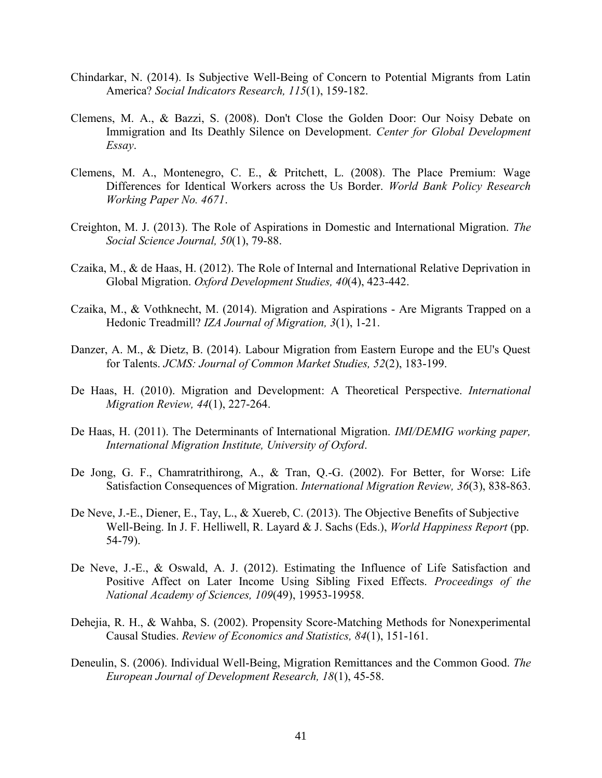- <span id="page-42-3"></span>Chindarkar, N. (2014). Is Subjective Well-Being of Concern to Potential Migrants from Latin America? *Social Indicators Research, 115*(1), 159-182.
- Clemens, M. A., & Bazzi, S. (2008). Don't Close the Golden Door: Our Noisy Debate on Immigration and Its Deathly Silence on Development. *Center for Global Development Essay*.
- Clemens, M. A., Montenegro, C. E., & Pritchett, L. (2008). The Place Premium: Wage Differences for Identical Workers across the Us Border. *World Bank Policy Research Working Paper No. 4671*.
- Creighton, M. J. (2013). The Role of Aspirations in Domestic and International Migration. *The Social Science Journal, 50*(1), 79-88.
- Czaika, M., & de Haas, H. (2012). The Role of Internal and International Relative Deprivation in Global Migration. *Oxford Development Studies, 40*(4), 423-442.
- <span id="page-42-0"></span>Czaika, M., & Vothknecht, M. (2014). Migration and Aspirations - Are Migrants Trapped on a Hedonic Treadmill? *IZA Journal of Migration, 3*(1), 1-21.
- <span id="page-42-7"></span>Danzer, A. M., & Dietz, B. (2014). Labour Migration from Eastern Europe and the EU's Quest for Talents. *JCMS: Journal of Common Market Studies, 52*(2), 183-199.
- <span id="page-42-4"></span>De Haas, H. (2010). Migration and Development: A Theoretical Perspective. *International Migration Review, 44*(1), 227-264.
- <span id="page-42-1"></span>De Haas, H. (2011). The Determinants of International Migration. *IMI/DEMIG working paper, International Migration Institute, University of Oxford*.
- <span id="page-42-2"></span>De Jong, G. F., Chamratrithirong, A., & Tran, Q.-G. (2002). For Better, for Worse: Life Satisfaction Consequences of Migration. *International Migration Review, 36*(3), 838-863.
- De Neve, J.-E., Diener, E., Tay, L., & Xuereb, C. (2013). The Objective Benefits of Subjective Well-Being. In J. F. Helliwell, R. Layard & J. Sachs (Eds.), *World Happiness Report* (pp. 54-79).
- <span id="page-42-5"></span>De Neve, J.-E., & Oswald, A. J. (2012). Estimating the Influence of Life Satisfaction and Positive Affect on Later Income Using Sibling Fixed Effects. *Proceedings of the National Academy of Sciences, 109*(49), 19953-19958.
- Dehejia, R. H., & Wahba, S. (2002). Propensity Score-Matching Methods for Nonexperimental Causal Studies. *Review of Economics and Statistics, 84*(1), 151-161.
- <span id="page-42-6"></span>Deneulin, S. (2006). Individual Well-Being, Migration Remittances and the Common Good. *The European Journal of Development Research, 18*(1), 45-58.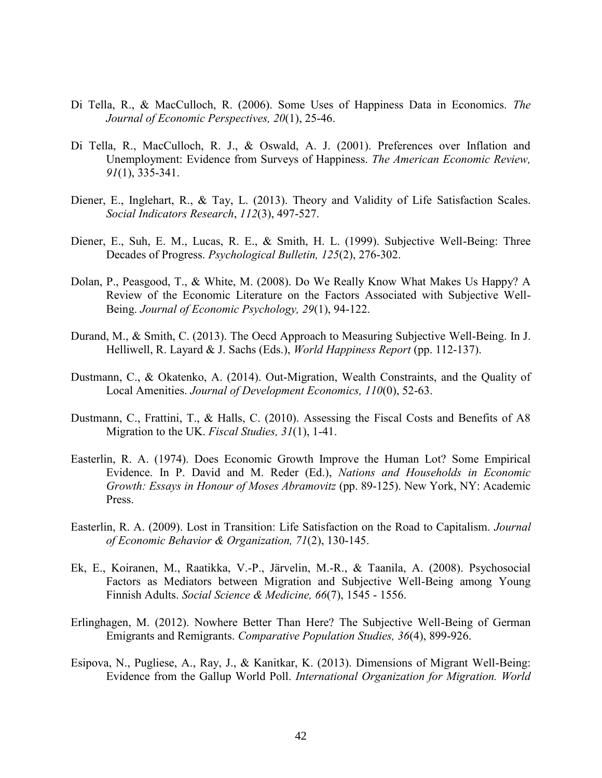- Di Tella, R., & MacCulloch, R. (2006). Some Uses of Happiness Data in Economics. *The Journal of Economic Perspectives, 20*(1), 25-46.
- <span id="page-43-0"></span>Di Tella, R., MacCulloch, R. J., & Oswald, A. J. (2001). Preferences over Inflation and Unemployment: Evidence from Surveys of Happiness. *The American Economic Review, 91*(1), 335-341.
- <span id="page-43-2"></span>Diener, E., Inglehart, R., & Tay, L. (2013). Theory and Validity of Life Satisfaction Scales. *Social Indicators Research*, *112*(3), 497-527.
- Diener, E., Suh, E. M., Lucas, R. E., & Smith, H. L. (1999). Subjective Well-Being: Three Decades of Progress. *Psychological Bulletin, 125*(2), 276-302.
- Dolan, P., Peasgood, T., & White, M. (2008). Do We Really Know What Makes Us Happy? A Review of the Economic Literature on the Factors Associated with Subjective Well-Being. *Journal of Economic Psychology, 29*(1), 94-122.
- Durand, M., & Smith, C. (2013). The Oecd Approach to Measuring Subjective Well-Being. In J. Helliwell, R. Layard & J. Sachs (Eds.), *World Happiness Report* (pp. 112-137).
- Dustmann, C., & Okatenko, A. (2014). Out-Migration, Wealth Constraints, and the Quality of Local Amenities. *Journal of Development Economics, 110*(0), 52-63.
- <span id="page-43-3"></span>Dustmann, C., Frattini, T., & Halls, C. (2010). Assessing the Fiscal Costs and Benefits of A8 Migration to the UK. *Fiscal Studies, 31*(1), 1-41.
- <span id="page-43-1"></span>Easterlin, R. A. (1974). Does Economic Growth Improve the Human Lot? Some Empirical Evidence. In P. David and M. Reder (Ed.), *Nations and Households in Economic Growth: Essays in Honour of Moses Abramovitz* (pp. 89-125). New York, NY: Academic Press.
- Easterlin, R. A. (2009). Lost in Transition: Life Satisfaction on the Road to Capitalism. *Journal of Economic Behavior & Organization, 71*(2), 130-145.
- Ek, E., Koiranen, M., Raatikka, V.-P., Järvelin, M.-R., & Taanila, A. (2008). Psychosocial Factors as Mediators between Migration and Subjective Well-Being among Young Finnish Adults. *Social Science & Medicine, 66*(7), 1545 - 1556.
- Erlinghagen, M. (2012). Nowhere Better Than Here? The Subjective Well-Being of German Emigrants and Remigrants. *Comparative Population Studies, 36*(4), 899-926.
- Esipova, N., Pugliese, A., Ray, J., & Kanitkar, K. (2013). Dimensions of Migrant Well-Being: Evidence from the Gallup World Poll. *International Organization for Migration. World*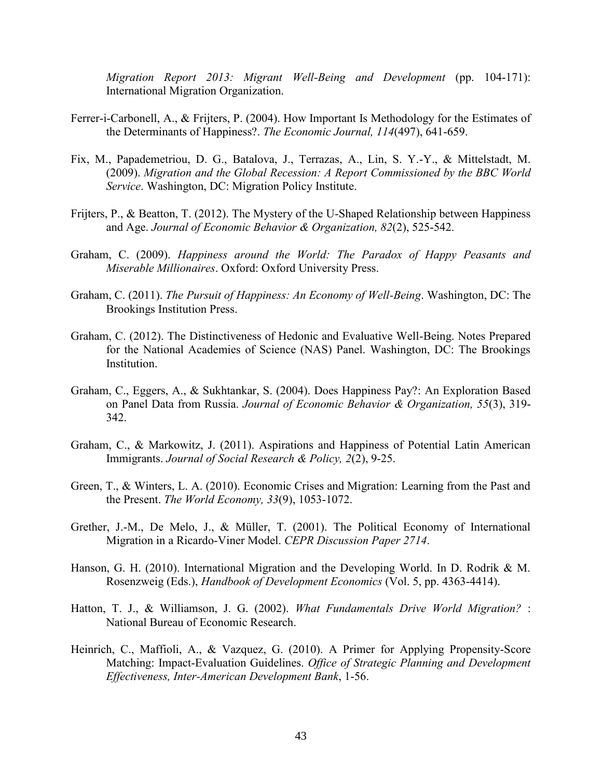*Migration Report 2013: Migrant Well-Being and Development* (pp. 104-171): International Migration Organization.

- Ferrer-i-Carbonell, A., & Frijters, P. (2004). How Important Is Methodology for the Estimates of the Determinants of Happiness?. *The Economic Journal, 114*(497), 641-659.
- Fix, M., Papademetriou, D. G., Batalova, J., Terrazas, A., Lin, S. Y.-Y., & Mittelstadt, M. (2009). *Migration and the Global Recession: A Report Commissioned by the BBC World Service*. Washington, DC: Migration Policy Institute.
- Frijters, P., & Beatton, T. (2012). The Mystery of the U-Shaped Relationship between Happiness and Age. *Journal of Economic Behavior & Organization, 82*(2), 525-542.
- Graham, C. (2009). *Happiness around the World: The Paradox of Happy Peasants and Miserable Millionaires*. Oxford: Oxford University Press.
- Graham, C. (2011). *The Pursuit of Happiness: An Economy of Well-Being*. Washington, DC: The Brookings Institution Press.
- Graham, C. (2012). The Distinctiveness of Hedonic and Evaluative Well-Being. Notes Prepared for the National Academies of Science (NAS) Panel. Washington, DC: The Brookings Institution.
- Graham, C., Eggers, A., & Sukhtankar, S. (2004). Does Happiness Pay?: An Exploration Based on Panel Data from Russia. *Journal of Economic Behavior & Organization, 55*(3), 319- 342.
- Graham, C., & Markowitz, J. (2011). Aspirations and Happiness of Potential Latin American Immigrants. *Journal of Social Research & Policy, 2*(2), 9-25.
- Green, T., & Winters, L. A. (2010). Economic Crises and Migration: Learning from the Past and the Present. *The World Economy, 33*(9), 1053-1072.
- Grether, J.-M., De Melo, J., & Müller, T. (2001). The Political Economy of International Migration in a Ricardo-Viner Model. *CEPR Discussion Paper 2714*.
- Hanson, G. H. (2010). International Migration and the Developing World. In D. Rodrik & M. Rosenzweig (Eds.), *Handbook of Development Economics* (Vol. 5, pp. 4363-4414).
- Hatton, T. J., & Williamson, J. G. (2002). *What Fundamentals Drive World Migration?* : National Bureau of Economic Research.
- Heinrich, C., Maffioli, A., & Vazquez, G. (2010). A Primer for Applying Propensity-Score Matching: Impact-Evaluation Guidelines. *Office of Strategic Planning and Development Effectiveness, Inter-American Development Bank*, 1-56.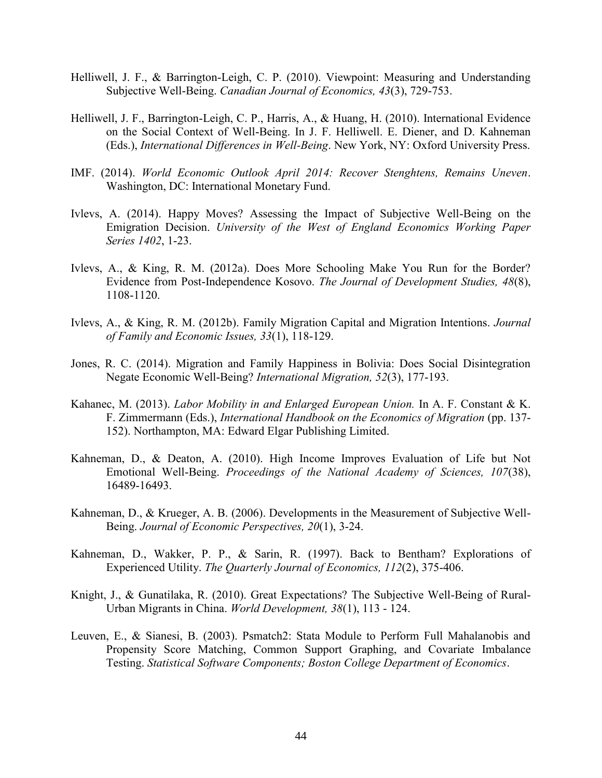- Helliwell, J. F., & Barrington-Leigh, C. P. (2010). Viewpoint: Measuring and Understanding Subjective Well-Being. *Canadian Journal of Economics, 43*(3), 729-753.
- Helliwell, J. F., Barrington-Leigh, C. P., Harris, A., & Huang, H. (2010). International Evidence on the Social Context of Well-Being. In J. F. Helliwell. E. Diener, and D. Kahneman (Eds.), *International Differences in Well-Being*. New York, NY: Oxford University Press.
- IMF. (2014). *World Economic Outlook April 2014: Recover Stenghtens, Remains Uneven*. Washington, DC: International Monetary Fund.
- Ivlevs, A. (2014). Happy Moves? Assessing the Impact of Subjective Well-Being on the Emigration Decision. *University of the West of England Economics Working Paper Series 1402*, 1-23.
- Ivlevs, A., & King, R. M. (2012a). Does More Schooling Make You Run for the Border? Evidence from Post-Independence Kosovo. *The Journal of Development Studies, 48*(8), 1108-1120.
- Ivlevs, A., & King, R. M. (2012b). Family Migration Capital and Migration Intentions. *Journal of Family and Economic Issues, 33*(1), 118-129.
- Jones, R. C. (2014). Migration and Family Happiness in Bolivia: Does Social Disintegration Negate Economic Well-Being? *International Migration, 52*(3), 177-193.
- Kahanec, M. (2013). *Labor Mobility in and Enlarged European Union.* In A. F. Constant & K. F. Zimmermann (Eds.), *International Handbook on the Economics of Migration* (pp. 137- 152). Northampton, MA: Edward Elgar Publishing Limited.
- Kahneman, D., & Deaton, A. (2010). High Income Improves Evaluation of Life but Not Emotional Well-Being. *Proceedings of the National Academy of Sciences, 107*(38), 16489-16493.
- Kahneman, D., & Krueger, A. B. (2006). Developments in the Measurement of Subjective Well-Being. *Journal of Economic Perspectives, 20*(1), 3-24.
- Kahneman, D., Wakker, P. P., & Sarin, R. (1997). Back to Bentham? Explorations of Experienced Utility. *The Quarterly Journal of Economics, 112*(2), 375-406.
- Knight, J., & Gunatilaka, R. (2010). Great Expectations? The Subjective Well-Being of Rural-Urban Migrants in China. *World Development, 38*(1), 113 - 124.
- Leuven, E., & Sianesi, B. (2003). Psmatch2: Stata Module to Perform Full Mahalanobis and Propensity Score Matching, Common Support Graphing, and Covariate Imbalance Testing. *Statistical Software Components; Boston College Department of Economics*.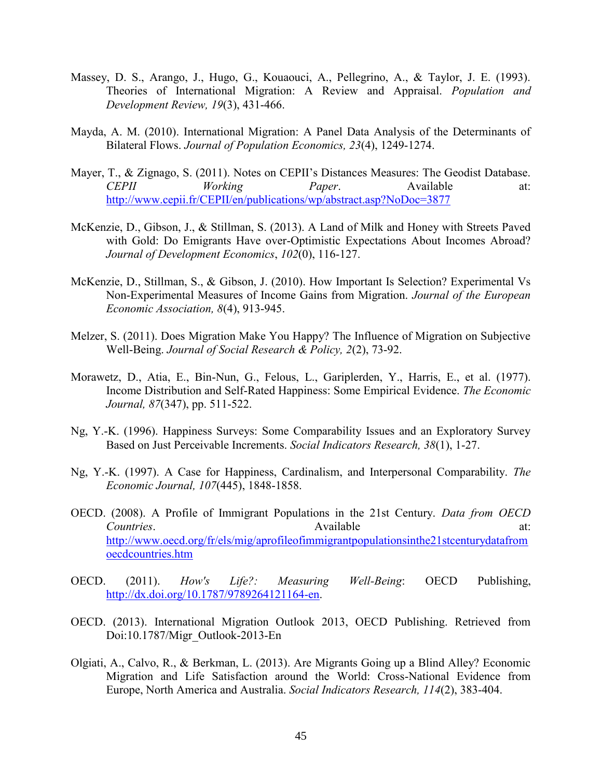- Massey, D. S., Arango, J., Hugo, G., Kouaouci, A., Pellegrino, A., & Taylor, J. E. (1993). Theories of International Migration: A Review and Appraisal. *Population and Development Review, 19*(3), 431-466.
- Mayda, A. M. (2010). International Migration: A Panel Data Analysis of the Determinants of Bilateral Flows. *Journal of Population Economics, 23*(4), 1249-1274.
- Mayer, T., & Zignago, S. (2011). Notes on CEPII's Distances Measures: The Geodist Database. *CEPII Working Paper*. Available at: <http://www.cepii.fr/CEPII/en/publications/wp/abstract.asp?NoDoc=3877>
- McKenzie, D., Gibson, J., & Stillman, S. (2013). A Land of Milk and Honey with Streets Paved with Gold: Do Emigrants Have over-Optimistic Expectations About Incomes Abroad? *Journal of Development Economics*, *102*(0), 116-127.
- McKenzie, D., Stillman, S., & Gibson, J. (2010). How Important Is Selection? Experimental Vs Non-Experimental Measures of Income Gains from Migration. *Journal of the European Economic Association, 8*(4), 913-945.
- Melzer, S. (2011). Does Migration Make You Happy? The Influence of Migration on Subjective Well-Being. *Journal of Social Research & Policy, 2*(2), 73-92.
- Morawetz, D., Atia, E., Bin-Nun, G., Felous, L., Gariplerden, Y., Harris, E., et al. (1977). Income Distribution and Self-Rated Happiness: Some Empirical Evidence. *The Economic Journal, 87*(347), pp. 511-522.
- Ng, Y.-K. (1996). Happiness Surveys: Some Comparability Issues and an Exploratory Survey Based on Just Perceivable Increments. *Social Indicators Research, 38*(1), 1-27.
- Ng, Y.-K. (1997). A Case for Happiness, Cardinalism, and Interpersonal Comparability. *The Economic Journal, 107*(445), 1848-1858.
- OECD. (2008). A Profile of Immigrant Populations in the 21st Century. *Data from OECD Countries.* Available at: [http://www.oecd.org/fr/els/mig/aprofileofimmigrantpopulationsinthe21stcenturydatafrom](http://www.oecd.org/fr/els/mig/aprofileofimmigrantpopulationsinthe21stcenturydatafromoecdcountries.htm) [oecdcountries.htm](http://www.oecd.org/fr/els/mig/aprofileofimmigrantpopulationsinthe21stcenturydatafromoecdcountries.htm)
- OECD. (2011). *How's Life?: Measuring Well-Being*: OECD Publishing, [http://dx.doi.org/10.1787/9789264121164-en.](http://dx.doi.org/10.1787/9789264121164-en)
- OECD. (2013). International Migration Outlook 2013, OECD Publishing. Retrieved from Doi:10.1787/Migr\_Outlook-2013-En
- Olgiati, A., Calvo, R., & Berkman, L. (2013). Are Migrants Going up a Blind Alley? Economic Migration and Life Satisfaction around the World: Cross-National Evidence from Europe, North America and Australia. *Social Indicators Research, 114*(2), 383-404.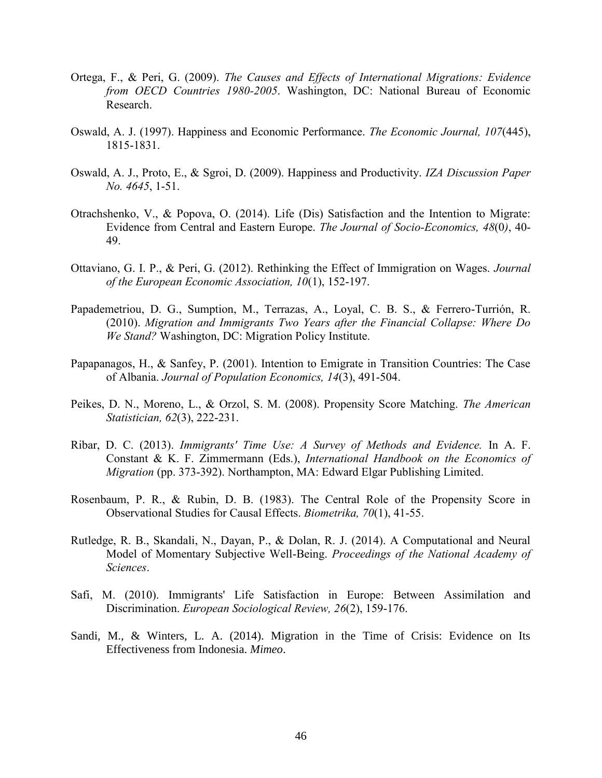- Ortega, F., & Peri, G. (2009). *The Causes and Effects of International Migrations: Evidence from OECD Countries 1980-2005*. Washington, DC: National Bureau of Economic Research.
- Oswald, A. J. (1997). Happiness and Economic Performance. *The Economic Journal, 107*(445), 1815-1831.
- Oswald, A. J., Proto, E., & Sgroi, D. (2009). Happiness and Productivity. *IZA Discussion Paper No. 4645*, 1-51.
- Otrachshenko, V., & Popova, O. (2014). Life (Dis) Satisfaction and the Intention to Migrate: Evidence from Central and Eastern Europe. *The Journal of Socio-Economics, 48*(0*)*, 40- 49.
- Ottaviano, G. I. P., & Peri, G. (2012). Rethinking the Effect of Immigration on Wages. *Journal of the European Economic Association, 10*(1), 152-197.
- Papademetriou, D. G., Sumption, M., Terrazas, A., Loyal, C. B. S., & Ferrero-Turrión, R. (2010). *Migration and Immigrants Two Years after the Financial Collapse: Where Do We Stand?* Washington, DC: Migration Policy Institute.
- Papapanagos, H., & Sanfey, P. (2001). Intention to Emigrate in Transition Countries: The Case of Albania. *Journal of Population Economics, 14*(3), 491-504.
- Peikes, D. N., Moreno, L., & Orzol, S. M. (2008). Propensity Score Matching. *The American Statistician, 62*(3), 222-231.
- Ribar, D. C. (2013). *Immigrants' Time Use: A Survey of Methods and Evidence.* In A. F. Constant & K. F. Zimmermann (Eds.), *International Handbook on the Economics of Migration* (pp. 373-392). Northampton, MA: Edward Elgar Publishing Limited.
- Rosenbaum, P. R., & Rubin, D. B. (1983). The Central Role of the Propensity Score in Observational Studies for Causal Effects. *Biometrika, 70*(1), 41-55.
- Rutledge, R. B., Skandali, N., Dayan, P., & Dolan, R. J. (2014). A Computational and Neural Model of Momentary Subjective Well-Being. *Proceedings of the National Academy of Sciences*.
- Safi, M. (2010). Immigrants' Life Satisfaction in Europe: Between Assimilation and Discrimination. *European Sociological Review, 26*(2), 159-176.
- Sandi, M., & Winters, L. A. (2014). Migration in the Time of Crisis: Evidence on Its Effectiveness from Indonesia. *Mimeo*.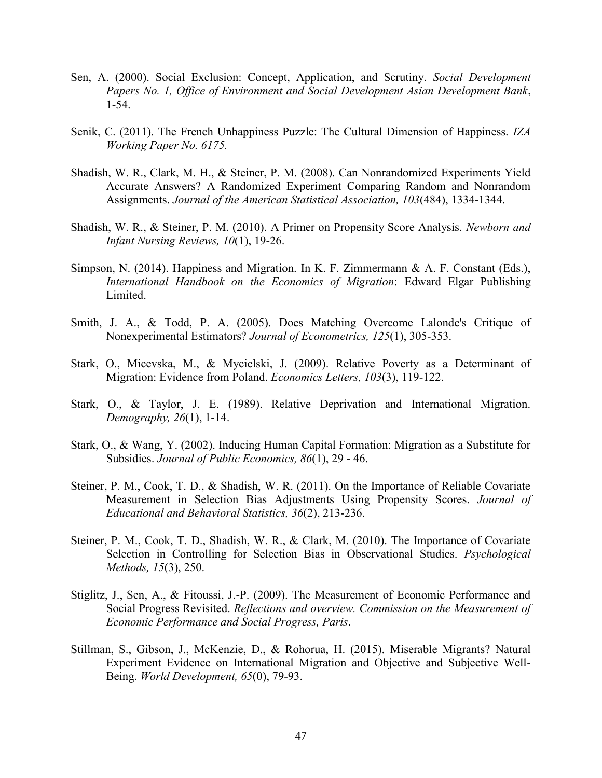- Sen, A. (2000). Social Exclusion: Concept, Application, and Scrutiny. *Social Development Papers No. 1, Office of Environment and Social Development Asian Development Bank*, 1-54.
- Senik, C. (2011). The French Unhappiness Puzzle: The Cultural Dimension of Happiness. *IZA Working Paper No. 6175.*
- Shadish, W. R., Clark, M. H., & Steiner, P. M. (2008). Can Nonrandomized Experiments Yield Accurate Answers? A Randomized Experiment Comparing Random and Nonrandom Assignments. *Journal of the American Statistical Association, 103*(484), 1334-1344.
- Shadish, W. R., & Steiner, P. M. (2010). A Primer on Propensity Score Analysis. *Newborn and Infant Nursing Reviews, 10*(1), 19-26.
- Simpson, N. (2014). Happiness and Migration. In K. F. Zimmermann & A. F. Constant (Eds.), *International Handbook on the Economics of Migration*: Edward Elgar Publishing Limited.
- Smith, J. A., & Todd, P. A. (2005). Does Matching Overcome Lalonde's Critique of Nonexperimental Estimators? *Journal of Econometrics, 125*(1), 305-353.
- Stark, O., Micevska, M., & Mycielski, J. (2009). Relative Poverty as a Determinant of Migration: Evidence from Poland. *Economics Letters, 103*(3), 119-122.
- Stark, O., & Taylor, J. E. (1989). Relative Deprivation and International Migration. *Demography, 26*(1), 1-14.
- Stark, O., & Wang, Y. (2002). Inducing Human Capital Formation: Migration as a Substitute for Subsidies. *Journal of Public Economics, 86*(1), 29 - 46.
- Steiner, P. M., Cook, T. D., & Shadish, W. R. (2011). On the Importance of Reliable Covariate Measurement in Selection Bias Adjustments Using Propensity Scores. *Journal of Educational and Behavioral Statistics, 36*(2), 213-236.
- Steiner, P. M., Cook, T. D., Shadish, W. R., & Clark, M. (2010). The Importance of Covariate Selection in Controlling for Selection Bias in Observational Studies. *Psychological Methods, 15*(3), 250.
- Stiglitz, J., Sen, A., & Fitoussi, J.-P. (2009). The Measurement of Economic Performance and Social Progress Revisited. *Reflections and overview. Commission on the Measurement of Economic Performance and Social Progress, Paris*.
- Stillman, S., Gibson, J., McKenzie, D., & Rohorua, H. (2015). Miserable Migrants? Natural Experiment Evidence on International Migration and Objective and Subjective Well-Being. *World Development, 65*(0), 79-93.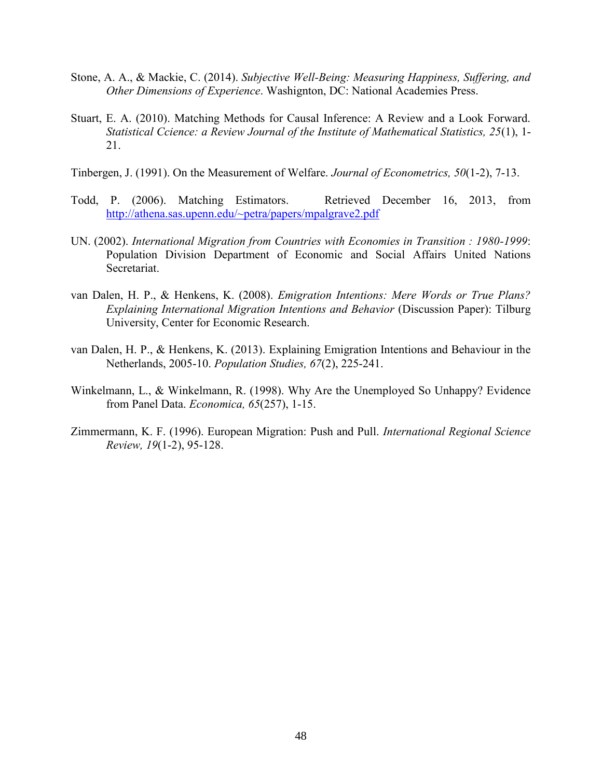- Stone, A. A., & Mackie, C. (2014). *Subjective Well-Being: Measuring Happiness, Suffering, and Other Dimensions of Experience*. Washignton, DC: National Academies Press.
- Stuart, E. A. (2010). Matching Methods for Causal Inference: A Review and a Look Forward. *Statistical Ccience: a Review Journal of the Institute of Mathematical Statistics, 25*(1), 1- 21.
- Tinbergen, J. (1991). On the Measurement of Welfare. *Journal of Econometrics, 50*(1-2), 7-13.
- Todd, P. (2006). Matching Estimators. Retrieved December 16, 2013, from <http://athena.sas.upenn.edu/~petra/papers/mpalgrave2.pdf>
- UN. (2002). *International Migration from Countries with Economies in Transition : 1980-1999*: Population Division Department of Economic and Social Affairs United Nations Secretariat.
- van Dalen, H. P., & Henkens, K. (2008). *Emigration Intentions: Mere Words or True Plans? Explaining International Migration Intentions and Behavior* (Discussion Paper): Tilburg University, Center for Economic Research.
- van Dalen, H. P., & Henkens, K. (2013). Explaining Emigration Intentions and Behaviour in the Netherlands, 2005-10. *Population Studies, 67*(2), 225-241.
- Winkelmann, L., & Winkelmann, R. (1998). Why Are the Unemployed So Unhappy? Evidence from Panel Data. *Economica, 65*(257), 1-15.
- Zimmermann, K. F. (1996). European Migration: Push and Pull. *International Regional Science Review, 19*(1-2), 95-128.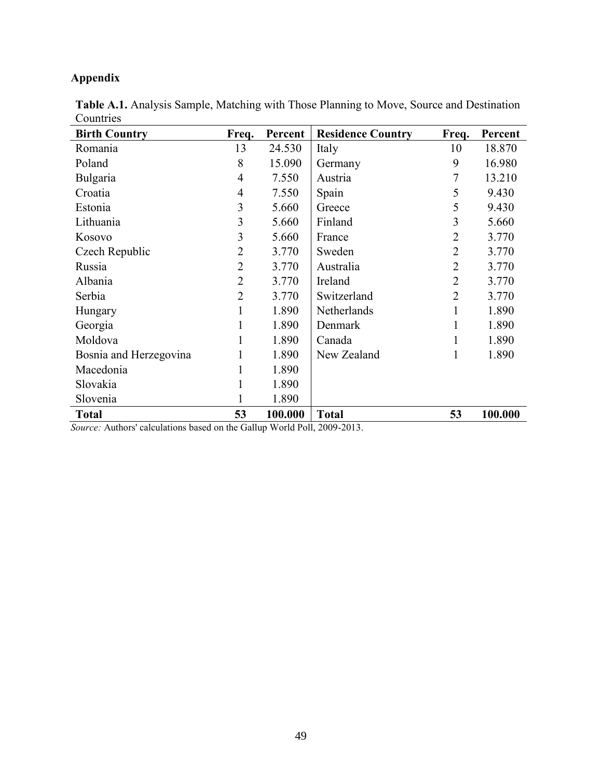# **Appendix**

| <b>Birth Country</b>                                                       | Freq.          | Percent | <b>Residence Country</b>         | Freq.          | Percent |
|----------------------------------------------------------------------------|----------------|---------|----------------------------------|----------------|---------|
| Romania                                                                    | 13             | 24.530  | Italy                            | 10             | 18.870  |
| Poland                                                                     | 8              | 15.090  | Germany                          | 9              | 16.980  |
| Bulgaria                                                                   | 4              | 7.550   | Austria                          |                | 13.210  |
| Croatia                                                                    | 4              | 7.550   | Spain                            | 5              | 9.430   |
| Estonia                                                                    | 3              | 5.660   | Greece                           | 5              | 9.430   |
| Lithuania                                                                  | 3              | 5.660   | Finland                          | 3              | 5.660   |
| Kosovo                                                                     | 3              | 5.660   | France                           | $\overline{2}$ | 3.770   |
| Czech Republic                                                             | $\overline{2}$ | 3.770   | Sweden                           | $\overline{2}$ | 3.770   |
| Russia                                                                     | $\overline{2}$ | 3.770   | Australia                        | $\overline{2}$ | 3.770   |
| Albania                                                                    | $\overline{2}$ | 3.770   | Ireland                          | $\overline{2}$ | 3.770   |
| Serbia                                                                     | $\overline{2}$ | 3.770   | Switzerland                      | $\overline{2}$ | 3.770   |
| Hungary                                                                    | 1              | 1.890   | Netherlands                      | 1              | 1.890   |
| Georgia                                                                    | 1              | 1.890   | Denmark                          |                | 1.890   |
| Moldova                                                                    | 1              | 1.890   | Canada                           |                | 1.890   |
| Bosnia and Herzegovina                                                     |                | 1.890   | New Zealand                      |                | 1.890   |
| Macedonia                                                                  | 1              | 1.890   |                                  |                |         |
| Slovakia                                                                   |                | 1.890   |                                  |                |         |
| Slovenia                                                                   |                | 1.890   |                                  |                |         |
| <b>Total</b><br><b>Contract Contract Contract Contract</b><br>$\mathbf{H}$ | 53             | 100.000 | <b>Total</b><br>11D 11 2000 2012 | 53             | 100.000 |

**Table A.1.** Analysis Sample, Matching with Those Planning to Move, Source and Destination Countries

*Source:* Authors' calculations based on the Gallup World Poll, 2009-2013.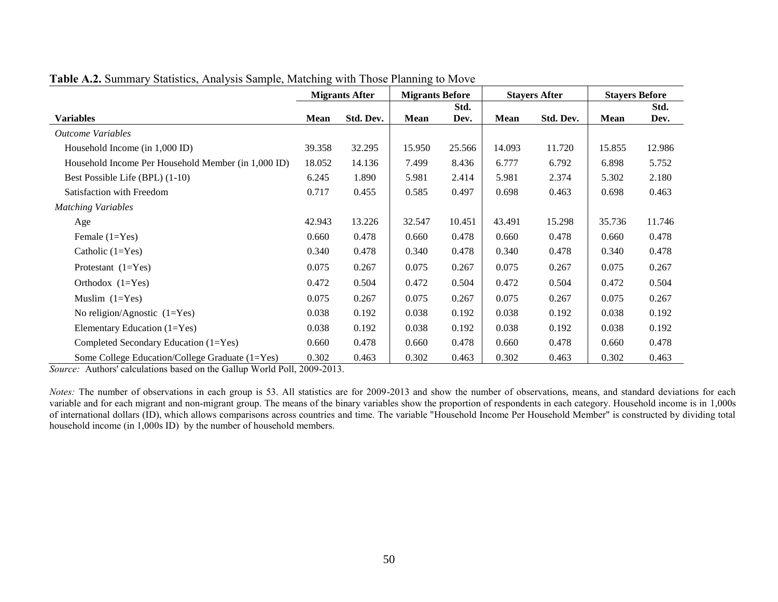|                                                     | <b>Migrants After</b> |           | <b>Migrants Before</b> |        | <b>Stayers After</b> |           | <b>Stayers Before</b> |        |
|-----------------------------------------------------|-----------------------|-----------|------------------------|--------|----------------------|-----------|-----------------------|--------|
|                                                     |                       |           |                        | Std.   |                      |           |                       | Std.   |
| <b>Variables</b>                                    | Mean                  | Std. Dev. | Mean                   | Dev.   | <b>Mean</b>          | Std. Dev. | <b>Mean</b>           | Dev.   |
| <b>Outcome Variables</b>                            |                       |           |                        |        |                      |           |                       |        |
| Household Income (in 1,000 ID)                      | 39.358                | 32.295    | 15.950                 | 25.566 | 14.093               | 11.720    | 15.855                | 12.986 |
| Household Income Per Household Member (in 1,000 ID) | 18.052                | 14.136    | 7.499                  | 8.436  | 6.777                | 6.792     | 6.898                 | 5.752  |
| Best Possible Life (BPL) (1-10)                     | 6.245                 | 1.890     | 5.981                  | 2.414  | 5.981                | 2.374     | 5.302                 | 2.180  |
| Satisfaction with Freedom                           | 0.717                 | 0.455     | 0.585                  | 0.497  | 0.698                | 0.463     | 0.698                 | 0.463  |
| <b>Matching Variables</b>                           |                       |           |                        |        |                      |           |                       |        |
| Age                                                 | 42.943                | 13.226    | 32.547                 | 10.451 | 43.491               | 15.298    | 35.736                | 11.746 |
| Female $(1=Yes)$                                    | 0.660                 | 0.478     | 0.660                  | 0.478  | 0.660                | 0.478     | 0.660                 | 0.478  |
| Catholic $(1=Yes)$                                  | 0.340                 | 0.478     | 0.340                  | 0.478  | 0.340                | 0.478     | 0.340                 | 0.478  |
| Protestant $(1=Yes)$                                | 0.075                 | 0.267     | 0.075                  | 0.267  | 0.075                | 0.267     | 0.075                 | 0.267  |
| Orthodox $(1=Yes)$                                  | 0.472                 | 0.504     | 0.472                  | 0.504  | 0.472                | 0.504     | 0.472                 | 0.504  |
| Muslim $(1=Yes)$                                    | 0.075                 | 0.267     | 0.075                  | 0.267  | 0.075                | 0.267     | 0.075                 | 0.267  |
| No religion/Agnostic $(1=Yes)$                      | 0.038                 | 0.192     | 0.038                  | 0.192  | 0.038                | 0.192     | 0.038                 | 0.192  |
| Elementary Education $(1=Yes)$                      | 0.038                 | 0.192     | 0.038                  | 0.192  | 0.038                | 0.192     | 0.038                 | 0.192  |
| Completed Secondary Education (1=Yes)               | 0.660                 | 0.478     | 0.660                  | 0.478  | 0.660                | 0.478     | 0.660                 | 0.478  |
| Some College Education/College Graduate (1=Yes)     | 0.302                 | 0.463     | 0.302                  | 0.463  | 0.302                | 0.463     | 0.302                 | 0.463  |

**Table A.2.** Summary Statistics, Analysis Sample, Matching with Those Planning to Move

*Source:* Authors' calculations based on the Gallup World Poll, 2009-2013.

*Notes*: The number of observations in each group is 53. All statistics are for 2009-2013 and show the number of observations, means, and standard deviations for each variable and for each migrant and non-migrant group. The means of the binary variables show the proportion of respondents in each category. Household income is in 1,000s of international dollars (ID), which allows comparisons across countries and time. The variable "Household Income Per Household Member" is constructed by dividing total household income (in 1,000s ID) by the number of household members.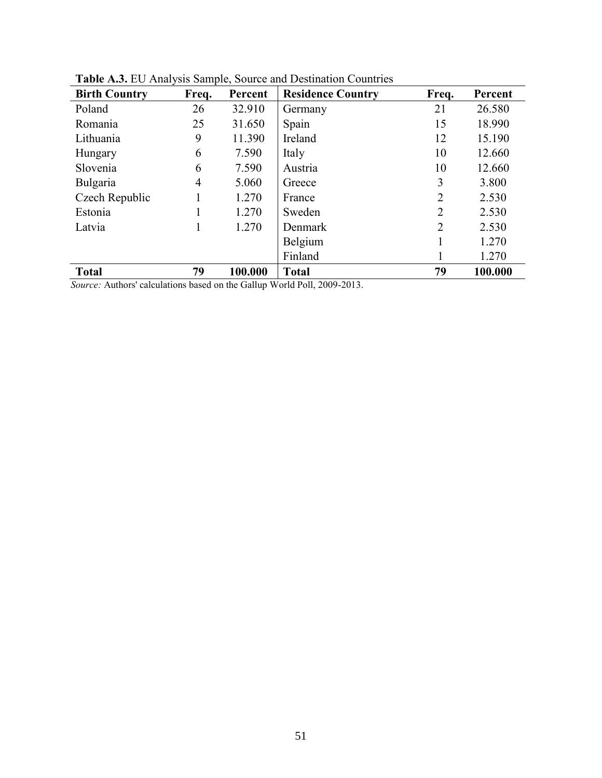| <b>Birth Country</b> | Freq. | Percent | <b>Residence Country</b> | Freq.          | Percent |
|----------------------|-------|---------|--------------------------|----------------|---------|
| Poland               | 26    | 32.910  | Germany                  | 21             | 26.580  |
| Romania              | 25    | 31.650  | Spain                    | 15             | 18.990  |
| Lithuania            | 9     | 11.390  | Ireland                  | 12             | 15.190  |
| Hungary              | 6     | 7.590   | Italy                    | 10             | 12.660  |
| Slovenia             | 6     | 7.590   | Austria                  | 10             | 12.660  |
| Bulgaria             | 4     | 5.060   | Greece                   | 3              | 3.800   |
| Czech Republic       |       | 1.270   | France                   | $\overline{2}$ | 2.530   |
| Estonia              |       | 1.270   | Sweden                   | 2              | 2.530   |
| Latvia               |       | 1.270   | Denmark                  | $\overline{2}$ | 2.530   |
|                      |       |         | Belgium                  |                | 1.270   |
|                      |       |         | Finland                  |                | 1.270   |
| <b>Total</b>         | 79    | 100.000 | <b>Total</b>             | 79             | 100.000 |

**Table A.3.** EU Analysis Sample, Source and Destination Countries

*Source:* Authors' calculations based on the Gallup World Poll, 2009-2013.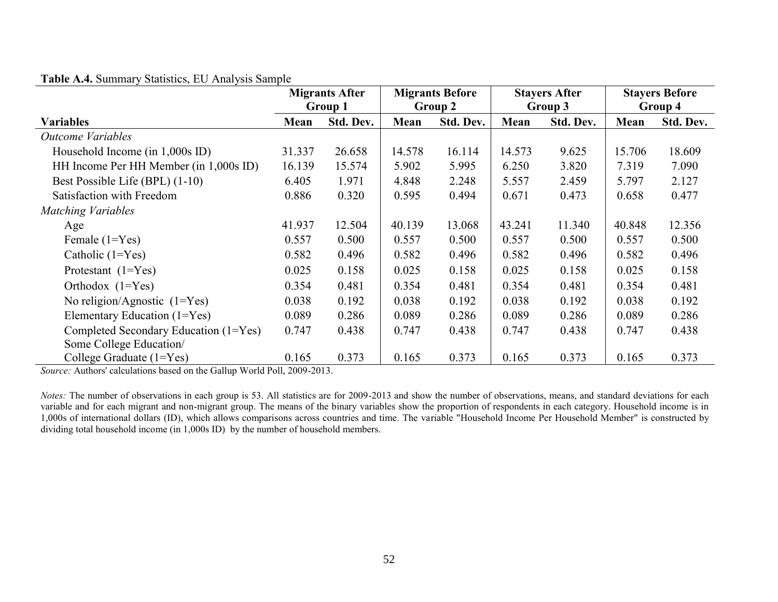| Table A.4. Summary Statistics, EU Analysis Sample |  |  |  |  |  |  |
|---------------------------------------------------|--|--|--|--|--|--|
|---------------------------------------------------|--|--|--|--|--|--|

|                                        | <b>Migrants After</b> |           | <b>Migrants Before</b> |           | <b>Stayers After</b> |           | <b>Stayers Before</b> |           |
|----------------------------------------|-----------------------|-----------|------------------------|-----------|----------------------|-----------|-----------------------|-----------|
|                                        | Group 1               |           | Group 2                |           | Group 3              |           | Group 4               |           |
| <b>Variables</b>                       | Mean                  | Std. Dev. | Mean                   | Std. Dev. | Mean                 | Std. Dev. | Mean                  | Std. Dev. |
| <b>Outcome Variables</b>               |                       |           |                        |           |                      |           |                       |           |
| Household Income (in 1,000s ID)        | 31.337                | 26.658    | 14.578                 | 16.114    | 14.573               | 9.625     | 15.706                | 18.609    |
| HH Income Per HH Member (in 1,000s ID) | 16.139                | 15.574    | 5.902                  | 5.995     | 6.250                | 3.820     | 7.319                 | 7.090     |
| Best Possible Life (BPL) (1-10)        | 6.405                 | 1.971     | 4.848                  | 2.248     | 5.557                | 2.459     | 5.797                 | 2.127     |
| Satisfaction with Freedom              | 0.886                 | 0.320     | 0.595                  | 0.494     | 0.671                | 0.473     | 0.658                 | 0.477     |
| <b>Matching Variables</b>              |                       |           |                        |           |                      |           |                       |           |
| Age                                    | 41.937                | 12.504    | 40.139                 | 13.068    | 43.241               | 11.340    | 40.848                | 12.356    |
| Female $(1=Yes)$                       | 0.557                 | 0.500     | 0.557                  | 0.500     | 0.557                | 0.500     | 0.557                 | 0.500     |
| Catholic $(1=Yes)$                     | 0.582                 | 0.496     | 0.582                  | 0.496     | 0.582                | 0.496     | 0.582                 | 0.496     |
| Protestant $(1 = Yes)$                 | 0.025                 | 0.158     | 0.025                  | 0.158     | 0.025                | 0.158     | 0.025                 | 0.158     |
| Orthodox $(1=Yes)$                     | 0.354                 | 0.481     | 0.354                  | 0.481     | 0.354                | 0.481     | 0.354                 | 0.481     |
| No religion/Agnostic $(1 = Yes)$       | 0.038                 | 0.192     | 0.038                  | 0.192     | 0.038                | 0.192     | 0.038                 | 0.192     |
| Elementary Education (1=Yes)           | 0.089                 | 0.286     | 0.089                  | 0.286     | 0.089                | 0.286     | 0.089                 | 0.286     |
| Completed Secondary Education (1=Yes)  | 0.747                 | 0.438     | 0.747                  | 0.438     | 0.747                | 0.438     | 0.747                 | 0.438     |
| Some College Education/                |                       |           |                        |           |                      |           |                       |           |
| College Graduate $(1 = Yes)$           | 0.165                 | 0.373     | 0.165                  | 0.373     | 0.165                | 0.373     | 0.165                 | 0.373     |

*Source:* Authors' calculations based on the Gallup World Poll, 2009-2013.

*Notes:* The number of observations in each group is 53. All statistics are for 2009-2013 and show the number of observations, means, and standard deviations for each variable and for each migrant and non-migrant group. The means of the binary variables show the proportion of respondents in each category. Household income is in 1,000s of international dollars (ID), which allows comparisons across countries and time. The variable "Household Income Per Household Member" is constructed by dividing total household income (in 1,000s ID) by the number of household members.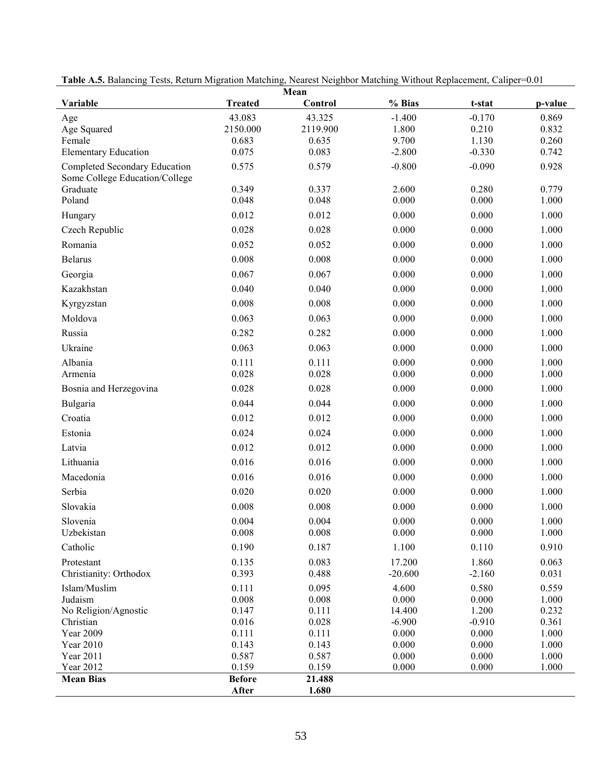| Mean                                                            |                |                |                |                |                |  |  |  |
|-----------------------------------------------------------------|----------------|----------------|----------------|----------------|----------------|--|--|--|
| Variable                                                        | <b>Treated</b> | Control        | % Bias         | t-stat         | p-value        |  |  |  |
| Age                                                             | 43.083         | 43.325         | $-1.400$       | $-0.170$       | 0.869          |  |  |  |
| Age Squared                                                     | 2150.000       | 2119.900       | 1.800          | 0.210          | 0.832          |  |  |  |
| Female                                                          | 0.683          | 0.635          | 9.700          | 1.130          | 0.260          |  |  |  |
| <b>Elementary Education</b>                                     | 0.075          | 0.083          | $-2.800$       | $-0.330$       | 0.742          |  |  |  |
| Completed Secondary Education<br>Some College Education/College | 0.575          | 0.579          | $-0.800$       | $-0.090$       | 0.928          |  |  |  |
| Graduate                                                        | 0.349          | 0.337          | 2.600          | 0.280          | 0.779          |  |  |  |
| Poland                                                          | 0.048          | 0.048          | 0.000          | 0.000          | 1.000          |  |  |  |
| Hungary                                                         | 0.012          | 0.012          | 0.000          | 0.000          | 1.000          |  |  |  |
| Czech Republic                                                  | 0.028          | 0.028          | 0.000          | 0.000          | 1.000          |  |  |  |
| Romania                                                         | 0.052          | 0.052          | 0.000          | 0.000          | 1.000          |  |  |  |
| <b>Belarus</b>                                                  | 0.008          | 0.008          | 0.000          | 0.000          | 1.000          |  |  |  |
| Georgia                                                         | 0.067          | 0.067          | 0.000          | 0.000          | 1.000          |  |  |  |
| Kazakhstan                                                      | 0.040          | 0.040          | 0.000          | 0.000          | 1.000          |  |  |  |
| Kyrgyzstan                                                      | 0.008          | 0.008          | 0.000          | 0.000          | 1.000          |  |  |  |
| Moldova                                                         | 0.063          | 0.063          | 0.000          | 0.000          | 1.000          |  |  |  |
| Russia                                                          | 0.282          | 0.282          | 0.000          | 0.000          | 1.000          |  |  |  |
| Ukraine                                                         | 0.063          | 0.063          | 0.000          | 0.000          | 1.000          |  |  |  |
| Albania                                                         | 0.111          | 0.111          | 0.000          | 0.000          | 1.000          |  |  |  |
| Armenia                                                         | 0.028          | 0.028          | 0.000          | 0.000          | 1.000          |  |  |  |
| Bosnia and Herzegovina                                          | 0.028          | 0.028          | 0.000          | 0.000          | 1.000          |  |  |  |
| Bulgaria                                                        | 0.044          | 0.044          | 0.000          | 0.000          | 1.000          |  |  |  |
| Croatia                                                         | 0.012          | 0.012          | 0.000          | 0.000          | 1.000          |  |  |  |
| Estonia                                                         | 0.024          | 0.024          | 0.000          | 0.000          | 1.000          |  |  |  |
| Latvia                                                          | 0.012          | 0.012          | 0.000          | 0.000          | 1.000          |  |  |  |
| Lithuania                                                       | 0.016          | 0.016          | 0.000          | 0.000          | 1.000          |  |  |  |
| Macedonia                                                       | 0.016          | 0.016          | 0.000          | 0.000          | 1.000          |  |  |  |
| Serbia                                                          | 0.020          | 0.020          | 0.000          | 0.000          | 1.000          |  |  |  |
| Slovakia                                                        | 0.008          | 0.008          | 0.000          | 0.000          | 1.000          |  |  |  |
| Slovenia                                                        | 0.004          | 0.004          | 0.000          | 0.000          | 1.000          |  |  |  |
| Uzbekistan                                                      | 0.008          | 0.008          | 0.000          | 0.000          | 1.000          |  |  |  |
| Catholic                                                        | 0.190          | 0.187          | 1.100          | 0.110          | 0.910          |  |  |  |
| Protestant                                                      | 0.135          | 0.083          | 17.200         | 1.860          | 0.063          |  |  |  |
| Christianity: Orthodox                                          | 0.393          | 0.488          | $-20.600$      | $-2.160$       | 0.031          |  |  |  |
| Islam/Muslim                                                    | 0.111          | 0.095          | 4.600          | 0.580          | 0.559          |  |  |  |
| Judaism                                                         | 0.008          | 0.008          | 0.000          | 0.000          | 1.000          |  |  |  |
| No Religion/Agnostic                                            | 0.147          | 0.111          | 14.400         | 1.200          | 0.232          |  |  |  |
| Christian                                                       | 0.016          | 0.028          | $-6.900$       | $-0.910$       | 0.361          |  |  |  |
| Year 2009<br>Year 2010                                          | 0.111<br>0.143 | 0.111<br>0.143 | 0.000<br>0.000 | 0.000<br>0.000 | 1.000<br>1.000 |  |  |  |
| Year 2011                                                       | 0.587          | 0.587          | 0.000          | 0.000          | 1.000          |  |  |  |
| Year 2012                                                       | 0.159          | 0.159          | 0.000          | 0.000          | 1.000          |  |  |  |
| <b>Mean Bias</b>                                                | <b>Before</b>  | 21.488         |                |                |                |  |  |  |
|                                                                 | After          | 1.680          |                |                |                |  |  |  |

**Table A.5.** Balancing Tests, Return Migration Matching, Nearest Neighbor Matching Without Replacement, Caliper=0.01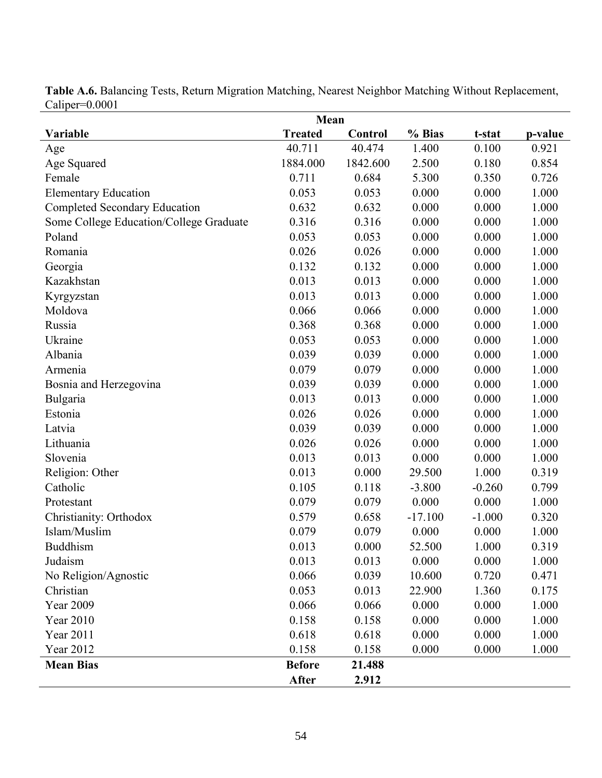| Mean                                    |                |          |           |          |         |  |
|-----------------------------------------|----------------|----------|-----------|----------|---------|--|
| Variable                                | <b>Treated</b> | Control  | % Bias    | t-stat   | p-value |  |
| Age                                     | 40.711         | 40.474   | 1.400     | 0.100    | 0.921   |  |
| Age Squared                             | 1884.000       | 1842.600 | 2.500     | 0.180    | 0.854   |  |
| Female                                  | 0.711          | 0.684    | 5.300     | 0.350    | 0.726   |  |
| <b>Elementary Education</b>             | 0.053          | 0.053    | 0.000     | 0.000    | 1.000   |  |
| <b>Completed Secondary Education</b>    | 0.632          | 0.632    | 0.000     | 0.000    | 1.000   |  |
| Some College Education/College Graduate | 0.316          | 0.316    | 0.000     | 0.000    | 1.000   |  |
| Poland                                  | 0.053          | 0.053    | 0.000     | 0.000    | 1.000   |  |
| Romania                                 | 0.026          | 0.026    | 0.000     | 0.000    | 1.000   |  |
| Georgia                                 | 0.132          | 0.132    | 0.000     | 0.000    | 1.000   |  |
| Kazakhstan                              | 0.013          | 0.013    | 0.000     | 0.000    | 1.000   |  |
| Kyrgyzstan                              | 0.013          | 0.013    | 0.000     | 0.000    | 1.000   |  |
| Moldova                                 | 0.066          | 0.066    | 0.000     | 0.000    | 1.000   |  |
| Russia                                  | 0.368          | 0.368    | 0.000     | 0.000    | 1.000   |  |
| Ukraine                                 | 0.053          | 0.053    | 0.000     | 0.000    | 1.000   |  |
| Albania                                 | 0.039          | 0.039    | 0.000     | 0.000    | 1.000   |  |
| Armenia                                 | 0.079          | 0.079    | 0.000     | 0.000    | 1.000   |  |
| Bosnia and Herzegovina                  | 0.039          | 0.039    | 0.000     | 0.000    | 1.000   |  |
| Bulgaria                                | 0.013          | 0.013    | 0.000     | 0.000    | 1.000   |  |
| Estonia                                 | 0.026          | 0.026    | 0.000     | 0.000    | 1.000   |  |
| Latvia                                  | 0.039          | 0.039    | 0.000     | 0.000    | 1.000   |  |
| Lithuania                               | 0.026          | 0.026    | 0.000     | 0.000    | 1.000   |  |
| Slovenia                                | 0.013          | 0.013    | 0.000     | 0.000    | 1.000   |  |
| Religion: Other                         | 0.013          | 0.000    | 29.500    | 1.000    | 0.319   |  |
| Catholic                                | 0.105          | 0.118    | $-3.800$  | $-0.260$ | 0.799   |  |
| Protestant                              | 0.079          | 0.079    | 0.000     | 0.000    | 1.000   |  |
| Christianity: Orthodox                  | 0.579          | 0.658    | $-17.100$ | $-1.000$ | 0.320   |  |
| Islam/Muslim                            | 0.079          | 0.079    | 0.000     | 0.000    | 1.000   |  |
| <b>Buddhism</b>                         | 0.013          | 0.000    | 52.500    | 1.000    | 0.319   |  |
| Judaism                                 | 0.013          | 0.013    | 0.000     | 0.000    | 1.000   |  |
| No Religion/Agnostic                    | 0.066          | 0.039    | 10.600    | 0.720    | 0.471   |  |
| Christian                               | 0.053          | 0.013    | 22.900    | 1.360    | 0.175   |  |
| Year 2009                               | 0.066          | 0.066    | 0.000     | 0.000    | 1.000   |  |
| Year 2010                               | 0.158          | 0.158    | 0.000     | 0.000    | 1.000   |  |
| Year 2011                               | 0.618          | 0.618    | 0.000     | 0.000    | 1.000   |  |
| Year 2012                               | 0.158          | 0.158    | 0.000     | 0.000    | 1.000   |  |
| <b>Mean Bias</b>                        | <b>Before</b>  | 21.488   |           |          |         |  |
|                                         | After          | 2.912    |           |          |         |  |

**Table A.6.** Balancing Tests, Return Migration Matching, Nearest Neighbor Matching Without Replacement, Caliper=0.0001